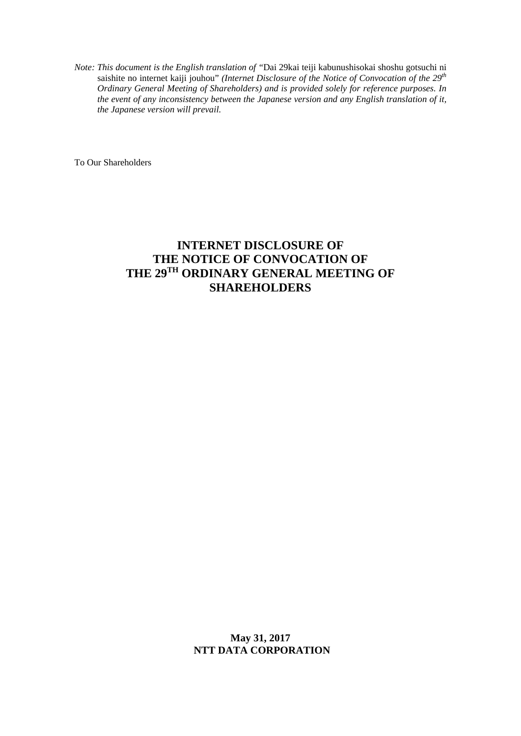*Note: This document is the English translation of "*Dai 29kai teiji kabunushisokai shoshu gotsuchi ni saishite no internet kaiji jouhou" *(Internet Disclosure of the Notice of Convocation of the 29th Ordinary General Meeting of Shareholders) and is provided solely for reference purposes. In the event of any inconsistency between the Japanese version and any English translation of it, the Japanese version will prevail.* 

To Our Shareholders

## **INTERNET DISCLOSURE OF THE NOTICE OF CONVOCATION OF THE 29TH ORDINARY GENERAL MEETING OF SHAREHOLDERS**

**May 31, 2017 NTT DATA CORPORATION**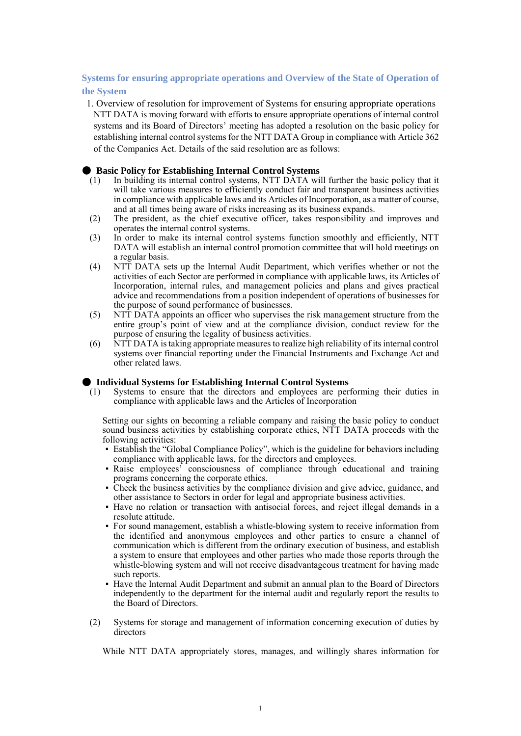## **Systems for ensuring appropriate operations and Overview of the State of Operation of the System**

1. Overview of resolution for improvement of Systems for ensuring appropriate operations NTT DATA is moving forward with efforts to ensure appropriate operations of internal control systems and its Board of Directors' meeting has adopted a resolution on the basic policy for establishing internal control systems for the NTT DATA Group in compliance with Article 362 of the Companies Act. Details of the said resolution are as follows:

## **Basic Policy for Establishing Internal Control Systems**

- (1) In building its internal control systems, NTT DATA will further the basic policy that it will take various measures to efficiently conduct fair and transparent business activities in compliance with applicable laws and its Articles of Incorporation, as a matter of course, and at all times being aware of risks increasing as its business expands.
- (2) The president, as the chief executive officer, takes responsibility and improves and operates the internal control systems.
- (3) In order to make its internal control systems function smoothly and efficiently, NTT DATA will establish an internal control promotion committee that will hold meetings on a regular basis.
- (4) NTT DATA sets up the Internal Audit Department, which verifies whether or not the activities of each Sector are performed in compliance with applicable laws, its Articles of Incorporation, internal rules, and management policies and plans and gives practical advice and recommendations from a position independent of operations of businesses for the purpose of sound performance of businesses.
- (5) NTT DATA appoints an officer who supervises the risk management structure from the entire group's point of view and at the compliance division, conduct review for the purpose of ensuring the legality of business activities.
- (6) NTT DATA is taking appropriate measures to realize high reliability of its internal control systems over financial reporting under the Financial Instruments and Exchange Act and other related laws.

## ● **Individual Systems for Establishing Internal Control Systems**

(1) Systems to ensure that the directors and employees are performing their duties in compliance with applicable laws and the Articles of Incorporation

Setting our sights on becoming a reliable company and raising the basic policy to conduct sound business activities by establishing corporate ethics, NTT DATA proceeds with the following activities:

- Establish the "Global Compliance Policy", which is the guideline for behaviors including compliance with applicable laws, for the directors and employees.
- Raise employees' consciousness of compliance through educational and training programs concerning the corporate ethics.
- Check the business activities by the compliance division and give advice, guidance, and other assistance to Sectors in order for legal and appropriate business activities.
- Have no relation or transaction with antisocial forces, and reject illegal demands in a resolute attitude.
- For sound management, establish a whistle-blowing system to receive information from the identified and anonymous employees and other parties to ensure a channel of communication which is different from the ordinary execution of business, and establish a system to ensure that employees and other parties who made those reports through the whistle-blowing system and will not receive disadvantageous treatment for having made such reports.
- Have the Internal Audit Department and submit an annual plan to the Board of Directors independently to the department for the internal audit and regularly report the results to the Board of Directors.
- (2) Systems for storage and management of information concerning execution of duties by directors

While NTT DATA appropriately stores, manages, and willingly shares information for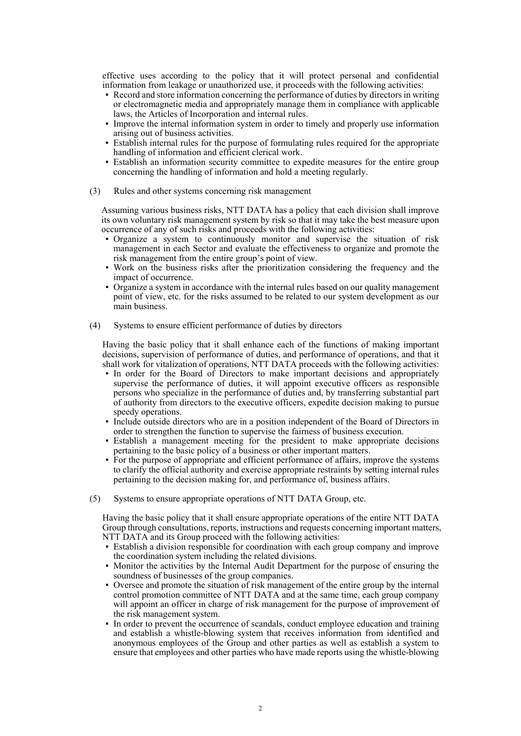effective uses according to the policy that it will protect personal and confidential information from leakage or unauthorized use, it proceeds with the following activities:

- Record and store information concerning the performance of duties by directors in writing or electromagnetic media and appropriately manage them in compliance with applicable laws, the Articles of Incorporation and internal rules.
- Improve the internal information system in order to timely and properly use information arising out of business activities.
- Establish internal rules for the purpose of formulating rules required for the appropriate handling of information and efficient clerical work.
- Establish an information security committee to expedite measures for the entire group concerning the handling of information and hold a meeting regularly.
- (3) Rules and other systems concerning risk management

Assuming various business risks, NTT DATA has a policy that each division shall improve its own voluntary risk management system by risk so that it may take the best measure upon occurrence of any of such risks and proceeds with the following activities:

- Organize a system to continuously monitor and supervise the situation of risk management in each Sector and evaluate the effectiveness to organize and promote the risk management from the entire group's point of view.
- Work on the business risks after the prioritization considering the frequency and the impact of occurrence.
- Organize a system in accordance with the internal rules based on our quality management point of view, etc. for the risks assumed to be related to our system development as our main business.
- (4) Systems to ensure efficient performance of duties by directors

Having the basic policy that it shall enhance each of the functions of making important decisions, supervision of performance of duties, and performance of operations, and that it shall work for vitalization of operations, NTT DATA proceeds with the following activities:

- In order for the Board of Directors to make important decisions and appropriately supervise the performance of duties, it will appoint executive officers as responsible persons who specialize in the performance of duties and, by transferring substantial part of authority from directors to the executive officers, expedite decision making to pursue speedy operations.
- Include outside directors who are in a position independent of the Board of Directors in order to strengthen the function to supervise the fairness of business execution.
- Establish a management meeting for the president to make appropriate decisions pertaining to the basic policy of a business or other important matters.
- For the purpose of appropriate and efficient performance of affairs, improve the systems to clarify the official authority and exercise appropriate restraints by setting internal rules pertaining to the decision making for, and performance of, business affairs.
- (5) Systems to ensure appropriate operations of NTT DATA Group, etc.

Having the basic policy that it shall ensure appropriate operations of the entire NTT DATA Group through consultations, reports, instructions and requests concerning important matters, NTT DATA and its Group proceed with the following activities:

- Establish a division responsible for coordination with each group company and improve the coordination system including the related divisions.
- Monitor the activities by the Internal Audit Department for the purpose of ensuring the soundness of businesses of the group companies.
- Oversee and promote the situation of risk management of the entire group by the internal control promotion committee of NTT DATA and at the same time, each group company will appoint an officer in charge of risk management for the purpose of improvement of the risk management system.
- In order to prevent the occurrence of scandals, conduct employee education and training and establish a whistle-blowing system that receives information from identified and anonymous employees of the Group and other parties as well as establish a system to ensure that employees and other parties who have made reports using the whistle-blowing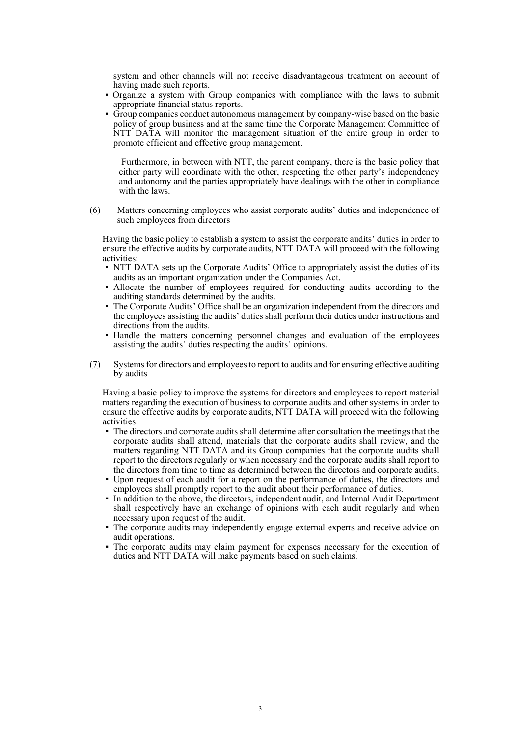system and other channels will not receive disadvantageous treatment on account of having made such reports.

- Organize a system with Group companies with compliance with the laws to submit appropriate financial status reports.
- Group companies conduct autonomous management by company-wise based on the basic policy of group business and at the same time the Corporate Management Committee of NTT DATA will monitor the management situation of the entire group in order to promote efficient and effective group management.

Furthermore, in between with NTT, the parent company, there is the basic policy that either party will coordinate with the other, respecting the other party's independency and autonomy and the parties appropriately have dealings with the other in compliance with the laws.

(6) Matters concerning employees who assist corporate audits' duties and independence of such employees from directors

Having the basic policy to establish a system to assist the corporate audits' duties in order to ensure the effective audits by corporate audits, NTT DATA will proceed with the following activities:

- NTT DATA sets up the Corporate Audits' Office to appropriately assist the duties of its audits as an important organization under the Companies Act.
- Allocate the number of employees required for conducting audits according to the auditing standards determined by the audits.
- The Corporate Audits' Office shall be an organization independent from the directors and the employees assisting the audits' duties shall perform their duties under instructions and directions from the audits.
- Handle the matters concerning personnel changes and evaluation of the employees assisting the audits' duties respecting the audits' opinions.
- (7) Systems for directors and employees to report to audits and for ensuring effective auditing by audits

Having a basic policy to improve the systems for directors and employees to report material matters regarding the execution of business to corporate audits and other systems in order to ensure the effective audits by corporate audits, NTT DATA will proceed with the following activities:

- The directors and corporate audits shall determine after consultation the meetings that the corporate audits shall attend, materials that the corporate audits shall review, and the matters regarding NTT DATA and its Group companies that the corporate audits shall report to the directors regularly or when necessary and the corporate audits shall report to the directors from time to time as determined between the directors and corporate audits.
- Upon request of each audit for a report on the performance of duties, the directors and employees shall promptly report to the audit about their performance of duties.
- In addition to the above, the directors, independent audit, and Internal Audit Department shall respectively have an exchange of opinions with each audit regularly and when necessary upon request of the audit.
- The corporate audits may independently engage external experts and receive advice on audit operations.
- The corporate audits may claim payment for expenses necessary for the execution of duties and NTT DATA will make payments based on such claims.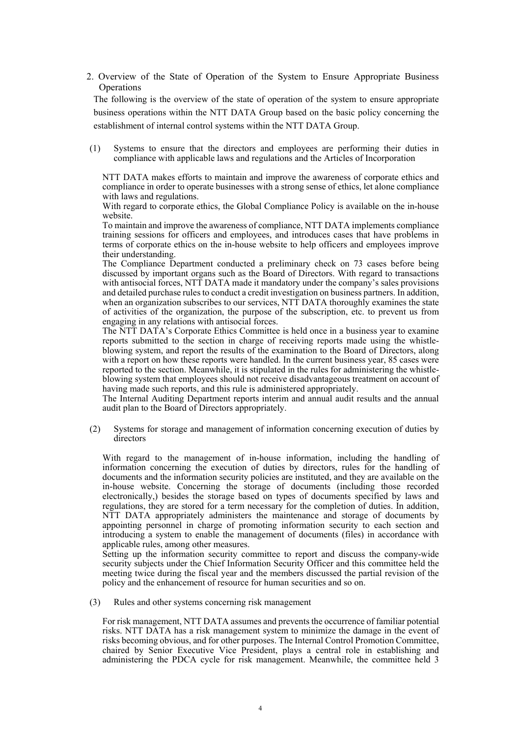2. Overview of the State of Operation of the System to Ensure Appropriate Business **Operations** 

The following is the overview of the state of operation of the system to ensure appropriate business operations within the NTT DATA Group based on the basic policy concerning the establishment of internal control systems within the NTT DATA Group.

(1) Systems to ensure that the directors and employees are performing their duties in compliance with applicable laws and regulations and the Articles of Incorporation

NTT DATA makes efforts to maintain and improve the awareness of corporate ethics and compliance in order to operate businesses with a strong sense of ethics, let alone compliance with laws and regulations.

With regard to corporate ethics, the Global Compliance Policy is available on the in-house website.

To maintain and improve the awareness of compliance, NTT DATA implements compliance training sessions for officers and employees, and introduces cases that have problems in terms of corporate ethics on the in-house website to help officers and employees improve their understanding.

The Compliance Department conducted a preliminary check on 73 cases before being discussed by important organs such as the Board of Directors. With regard to transactions with antisocial forces. NTT DATA made it mandatory under the company's sales provisions and detailed purchase rules to conduct a credit investigation on business partners. In addition, when an organization subscribes to our services, NTT DATA thoroughly examines the state of activities of the organization, the purpose of the subscription, etc. to prevent us from engaging in any relations with antisocial forces.

The NTT DATA's Corporate Ethics Committee is held once in a business year to examine reports submitted to the section in charge of receiving reports made using the whistleblowing system, and report the results of the examination to the Board of Directors, along with a report on how these reports were handled. In the current business year, 85 cases were reported to the section. Meanwhile, it is stipulated in the rules for administering the whistleblowing system that employees should not receive disadvantageous treatment on account of having made such reports, and this rule is administered appropriately.

The Internal Auditing Department reports interim and annual audit results and the annual audit plan to the Board of Directors appropriately.

(2) Systems for storage and management of information concerning execution of duties by directors

With regard to the management of in-house information, including the handling of information concerning the execution of duties by directors, rules for the handling of documents and the information security policies are instituted, and they are available on the in-house website. Concerning the storage of documents (including those recorded electronically,) besides the storage based on types of documents specified by laws and regulations, they are stored for a term necessary for the completion of duties. In addition, NTT DATA appropriately administers the maintenance and storage of documents by appointing personnel in charge of promoting information security to each section and introducing a system to enable the management of documents (files) in accordance with applicable rules, among other measures.

Setting up the information security committee to report and discuss the company-wide security subjects under the Chief Information Security Officer and this committee held the meeting twice during the fiscal year and the members discussed the partial revision of the policy and the enhancement of resource for human securities and so on.

(3) Rules and other systems concerning risk management

For risk management, NTT DATA assumes and prevents the occurrence of familiar potential risks. NTT DATA has a risk management system to minimize the damage in the event of risks becoming obvious, and for other purposes. The Internal Control Promotion Committee, chaired by Senior Executive Vice President, plays a central role in establishing and administering the PDCA cycle for risk management. Meanwhile, the committee held 3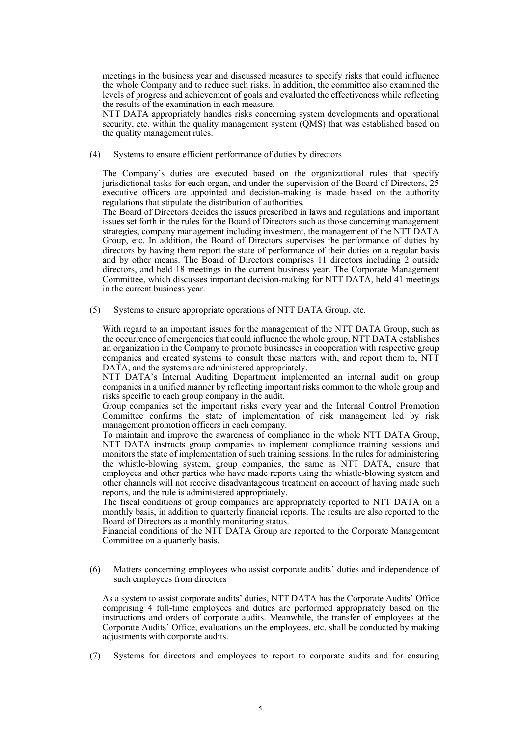meetings in the business year and discussed measures to specify risks that could influence the whole Company and to reduce such risks. In addition, the committee also examined the levels of progress and achievement of goals and evaluated the effectiveness while reflecting the results of the examination in each measure.

NTT DATA appropriately handles risks concerning system developments and operational security, etc. within the quality management system (QMS) that was established based on the quality management rules.

(4) Systems to ensure efficient performance of duties by directors

The Company's duties are executed based on the organizational rules that specify jurisdictional tasks for each organ, and under the supervision of the Board of Directors, 25 executive officers are appointed and decision-making is made based on the authority regulations that stipulate the distribution of authorities.

The Board of Directors decides the issues prescribed in laws and regulations and important issues set forth in the rules for the Board of Directors such as those concerning management strategies, company management including investment, the management of the NTT DATA Group, etc. In addition, the Board of Directors supervises the performance of duties by directors by having them report the state of performance of their duties on a regular basis and by other means. The Board of Directors comprises 11 directors including 2 outside directors, and held 18 meetings in the current business year. The Corporate Management Committee, which discusses important decision-making for NTT DATA, held 41 meetings in the current business year.

(5) Systems to ensure appropriate operations of NTT DATA Group, etc.

With regard to an important issues for the management of the NTT DATA Group, such as the occurrence of emergencies that could influence the whole group, NTT DATA establishes an organization in the Company to promote businesses in cooperation with respective group companies and created systems to consult these matters with, and report them to, NTT DATA, and the systems are administered appropriately.

NTT DATA's Internal Auditing Department implemented an internal audit on group companies in a unified manner by reflecting important risks common to the whole group and risks specific to each group company in the audit.

Group companies set the important risks every year and the Internal Control Promotion Committee confirms the state of implementation of risk management led by risk management promotion officers in each company.

To maintain and improve the awareness of compliance in the whole NTT DATA Group, NTT DATA instructs group companies to implement compliance training sessions and monitors the state of implementation of such training sessions. In the rules for administering the whistle-blowing system, group companies, the same as NTT DATA, ensure that employees and other parties who have made reports using the whistle-blowing system and other channels will not receive disadvantageous treatment on account of having made such reports, and the rule is administered appropriately.

The fiscal conditions of group companies are appropriately reported to NTT DATA on a monthly basis, in addition to quarterly financial reports. The results are also reported to the Board of Directors as a monthly monitoring status.

Financial conditions of the NTT DATA Group are reported to the Corporate Management Committee on a quarterly basis.

(6) Matters concerning employees who assist corporate audits' duties and independence of such employees from directors

As a system to assist corporate audits' duties, NTT DATA has the Corporate Audits' Office comprising 4 full-time employees and duties are performed appropriately based on the instructions and orders of corporate audits. Meanwhile, the transfer of employees at the Corporate Audits' Office, evaluations on the employees, etc. shall be conducted by making adjustments with corporate audits.

(7) Systems for directors and employees to report to corporate audits and for ensuring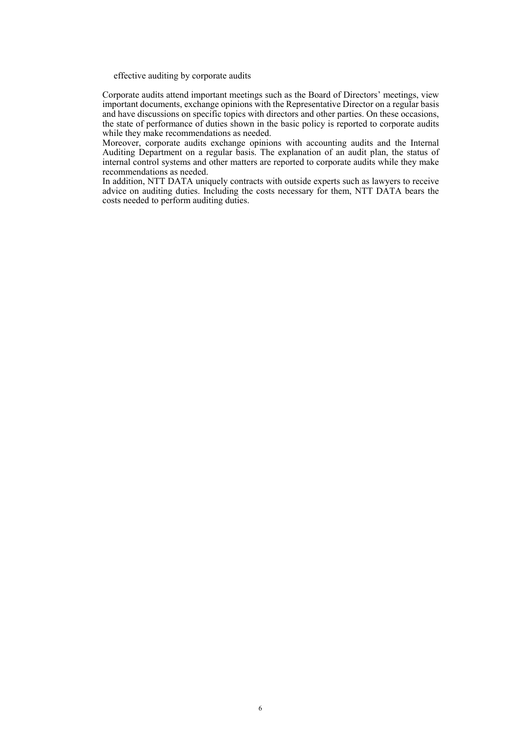effective auditing by corporate audits

Corporate audits attend important meetings such as the Board of Directors' meetings, view important documents, exchange opinions with the Representative Director on a regular basis and have discussions on specific topics with directors and other parties. On these occasions, the state of performance of duties shown in the basic policy is reported to corporate audits while they make recommendations as needed.

Moreover, corporate audits exchange opinions with accounting audits and the Internal Auditing Department on a regular basis. The explanation of an audit plan, the status of internal control systems and other matters are reported to corporate audits while they make recommendations as needed.

In addition, NTT DATA uniquely contracts with outside experts such as lawyers to receive advice on auditing duties. Including the costs necessary for them, NTT DATA bears the costs needed to perform auditing duties.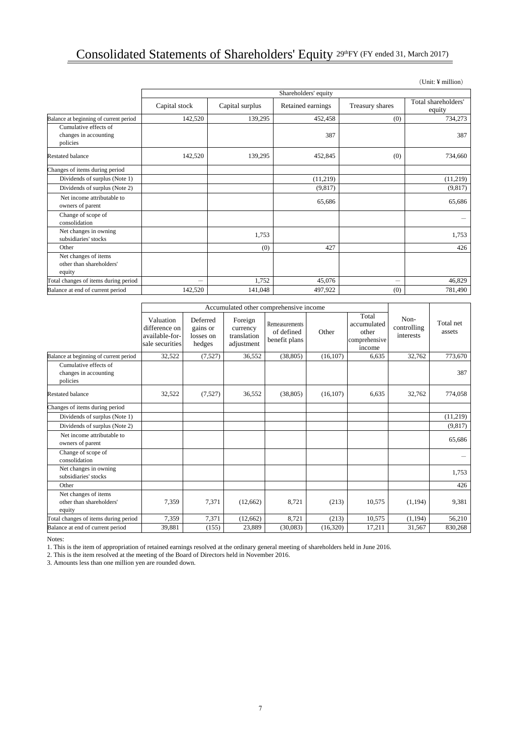## Consolidated Statements of Shareholders' Equity 29thFY (FY ended 31, March 2017)

|                                                            |               |                 | Shareholders' equity |                          |                               |
|------------------------------------------------------------|---------------|-----------------|----------------------|--------------------------|-------------------------------|
|                                                            | Capital stock | Capital surplus | Retained earnings    | Treasury shares          | Total shareholders'<br>equity |
| Balance at beginning of current period                     | 142,520       | 139,295         | 452,458              | (0)                      | 734,273                       |
| Cumulative effects of<br>changes in accounting<br>policies |               |                 | 387                  |                          | 387                           |
| <b>Restated balance</b>                                    | 142,520       | 139,295         | 452,845              | (0)                      | 734,660                       |
| Changes of items during period                             |               |                 |                      |                          |                               |
| Dividends of surplus (Note 1)                              |               |                 | (11,219)             |                          | (11,219)                      |
| Dividends of surplus (Note 2)                              |               |                 | (9,817)              |                          | (9,817)                       |
| Net income attributable to<br>owners of parent             |               |                 | 65,686               |                          | 65,686                        |
| Change of scope of<br>consolidation                        |               |                 |                      |                          |                               |
| Net changes in owning<br>subsidiaries' stocks              |               | 1,753           |                      |                          | 1,753                         |
| Other                                                      |               | (0)             | 427                  |                          | 426                           |
| Net changes of items<br>other than shareholders'<br>equity |               |                 |                      |                          |                               |
| Total changes of items during period                       |               | 1,752           | 45,076               | $\overline{\phantom{0}}$ | 46,829                        |
| Balance at end of current period                           | 142,520       | 141,048         | 497,922              | (0)                      | 781,490                       |

|                                                            | Accumulated other comprehensive income                          |                                             |                                                  |                                               |           |                                                          |                                  |                     |
|------------------------------------------------------------|-----------------------------------------------------------------|---------------------------------------------|--------------------------------------------------|-----------------------------------------------|-----------|----------------------------------------------------------|----------------------------------|---------------------|
|                                                            | Valuation<br>difference on<br>available-for-<br>sale securities | Deferred<br>gains or<br>losses on<br>hedges | Foreign<br>currency<br>translation<br>adjustment | Remeasurements<br>of defined<br>benefit plans | Other     | Total<br>accumulated<br>other<br>comprehensive<br>income | Non-<br>controlling<br>interests | Total net<br>assets |
| Balance at beginning of current period                     | 32,522                                                          | (7,527)                                     | 36,552                                           | (38, 805)                                     | (16.107)  | 6,635                                                    | 32,762                           | 773,670             |
| Cumulative effects of<br>changes in accounting<br>policies |                                                                 |                                             |                                                  |                                               |           |                                                          |                                  | 387                 |
| <b>Restated balance</b>                                    | 32,522                                                          | (7,527)                                     | 36,552                                           | (38, 805)                                     | (16, 107) | 6,635                                                    | 32,762                           | 774,058             |
| Changes of items during period                             |                                                                 |                                             |                                                  |                                               |           |                                                          |                                  |                     |
| Dividends of surplus (Note 1)                              |                                                                 |                                             |                                                  |                                               |           |                                                          |                                  | (11, 219)           |
| Dividends of surplus (Note 2)                              |                                                                 |                                             |                                                  |                                               |           |                                                          |                                  | (9, 817)            |
| Net income attributable to<br>owners of parent             |                                                                 |                                             |                                                  |                                               |           |                                                          |                                  | 65,686              |
| Change of scope of<br>consolidation                        |                                                                 |                                             |                                                  |                                               |           |                                                          |                                  |                     |
| Net changes in owning<br>subsidiaries' stocks              |                                                                 |                                             |                                                  |                                               |           |                                                          |                                  | 1,753               |
| Other                                                      |                                                                 |                                             |                                                  |                                               |           |                                                          |                                  | 426                 |
| Net changes of items<br>other than shareholders'<br>equity | 7,359                                                           | 7,371                                       | (12,662)                                         | 8.721                                         | (213)     | 10,575                                                   | (1, 194)                         | 9,381               |
| Total changes of items during period                       | 7,359                                                           | 7,371                                       | (12,662)                                         | 8,721                                         | (213)     | 10,575                                                   | (1, 194)                         | 56,210              |
| Balance at end of current period                           | 39,881                                                          | (155)                                       | 23,889                                           | (30,083)                                      | (16,320)  | 17,211                                                   | 31,567                           | 830,268             |

Notes:

1. This is the item of appropriation of retained earnings resolved at the ordinary general meeting of shareholders held in June 2016.

2. This is the item resolved at the meeting of the Board of Directors held in November 2016.

3. Amounts less than one million yen are rounded down.

(Unit: ¥ million)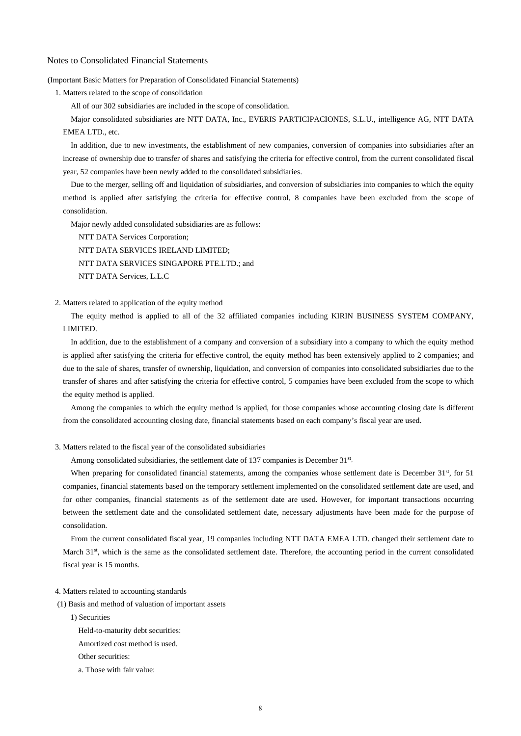Notes to Consolidated Financial Statements

(Important Basic Matters for Preparation of Consolidated Financial Statements)

1. Matters related to the scope of consolidation

All of our 302 subsidiaries are included in the scope of consolidation.

Major consolidated subsidiaries are NTT DATA, Inc., EVERIS PARTICIPACIONES, S.L.U., intelligence AG, NTT DATA EMEA LTD., etc.

In addition, due to new investments, the establishment of new companies, conversion of companies into subsidiaries after an increase of ownership due to transfer of shares and satisfying the criteria for effective control, from the current consolidated fiscal year, 52 companies have been newly added to the consolidated subsidiaries.

Due to the merger, selling off and liquidation of subsidiaries, and conversion of subsidiaries into companies to which the equity method is applied after satisfying the criteria for effective control, 8 companies have been excluded from the scope of consolidation.

Major newly added consolidated subsidiaries are as follows:

NTT DATA Services Corporation;

NTT DATA SERVICES IRELAND LIMITED; NTT DATA SERVICES SINGAPORE PTE.LTD.; and NTT DATA Services, L.L.C

2. Matters related to application of the equity method

The equity method is applied to all of the 32 affiliated companies including KIRIN BUSINESS SYSTEM COMPANY, LIMITED.

In addition, due to the establishment of a company and conversion of a subsidiary into a company to which the equity method is applied after satisfying the criteria for effective control, the equity method has been extensively applied to 2 companies; and due to the sale of shares, transfer of ownership, liquidation, and conversion of companies into consolidated subsidiaries due to the transfer of shares and after satisfying the criteria for effective control, 5 companies have been excluded from the scope to which the equity method is applied.

Among the companies to which the equity method is applied, for those companies whose accounting closing date is different from the consolidated accounting closing date, financial statements based on each company's fiscal year are used.

#### 3. Matters related to the fiscal year of the consolidated subsidiaries

Among consolidated subsidiaries, the settlement date of 137 companies is December 31st.

When preparing for consolidated financial statements, among the companies whose settlement date is December 31<sup>st</sup>, for 51 companies, financial statements based on the temporary settlement implemented on the consolidated settlement date are used, and for other companies, financial statements as of the settlement date are used. However, for important transactions occurring between the settlement date and the consolidated settlement date, necessary adjustments have been made for the purpose of consolidation.

From the current consolidated fiscal year, 19 companies including NTT DATA EMEA LTD. changed their settlement date to March 31<sup>st</sup>, which is the same as the consolidated settlement date. Therefore, the accounting period in the current consolidated fiscal year is 15 months.

- 4. Matters related to accounting standards
- (1) Basis and method of valuation of important assets

1) Securities

Held-to-maturity debt securities:

Amortized cost method is used.

- Other securities:
- a. Those with fair value: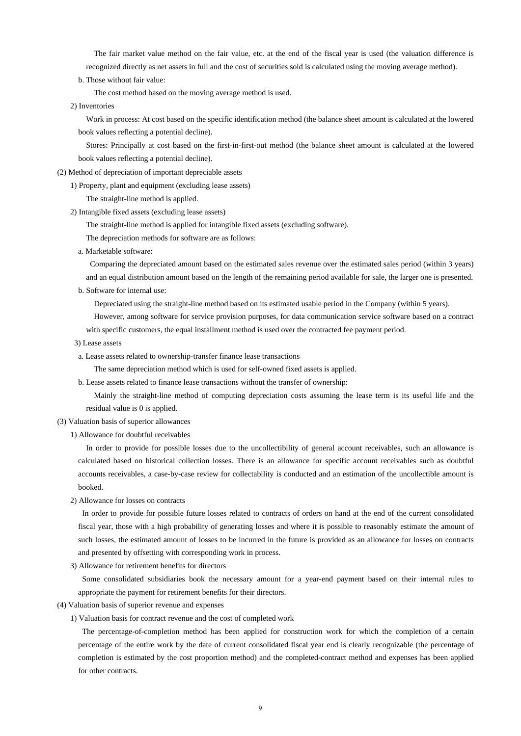The fair market value method on the fair value, etc. at the end of the fiscal year is used (the valuation difference is recognized directly as net assets in full and the cost of securities sold is calculated using the moving average method).

b. Those without fair value:

The cost method based on the moving average method is used.

2) Inventories

Work in process: At cost based on the specific identification method (the balance sheet amount is calculated at the lowered book values reflecting a potential decline).

Stores: Principally at cost based on the first-in-first-out method (the balance sheet amount is calculated at the lowered book values reflecting a potential decline).

(2) Method of depreciation of important depreciable assets

1) Property, plant and equipment (excluding lease assets)

The straight-line method is applied.

- 2) Intangible fixed assets (excluding lease assets)
	- The straight-line method is applied for intangible fixed assets (excluding software).

The depreciation methods for software are as follows:

a. Marketable software:

Comparing the depreciated amount based on the estimated sales revenue over the estimated sales period (within 3 years) and an equal distribution amount based on the length of the remaining period available for sale, the larger one is presented.

b. Software for internal use:

Depreciated using the straight-line method based on its estimated usable period in the Company (within 5 years).

However, among software for service provision purposes, for data communication service software based on a contract with specific customers, the equal installment method is used over the contracted fee payment period.

- 3) Lease assets
- a. Lease assets related to ownership-transfer finance lease transactions

The same depreciation method which is used for self-owned fixed assets is applied.

b. Lease assets related to finance lease transactions without the transfer of ownership:

Mainly the straight-line method of computing depreciation costs assuming the lease term is its useful life and the residual value is 0 is applied.

#### (3) Valuation basis of superior allowances

1) Allowance for doubtful receivables

 In order to provide for possible losses due to the uncollectibility of general account receivables, such an allowance is calculated based on historical collection losses. There is an allowance for specific account receivables such as doubtful accounts receivables, a case-by-case review for collectability is conducted and an estimation of the uncollectible amount is booked.

2) Allowance for losses on contracts

In order to provide for possible future losses related to contracts of orders on hand at the end of the current consolidated fiscal year, those with a high probability of generating losses and where it is possible to reasonably estimate the amount of such losses, the estimated amount of losses to be incurred in the future is provided as an allowance for losses on contracts and presented by offsetting with corresponding work in process.

3) Allowance for retirement benefits for directors

Some consolidated subsidiaries book the necessary amount for a year-end payment based on their internal rules to appropriate the payment for retirement benefits for their directors.

- (4) Valuation basis of superior revenue and expenses
	- 1) Valuation basis for contract revenue and the cost of completed work

The percentage-of-completion method has been applied for construction work for which the completion of a certain percentage of the entire work by the date of current consolidated fiscal year end is clearly recognizable (the percentage of completion is estimated by the cost proportion method) and the completed-contract method and expenses has been applied for other contracts.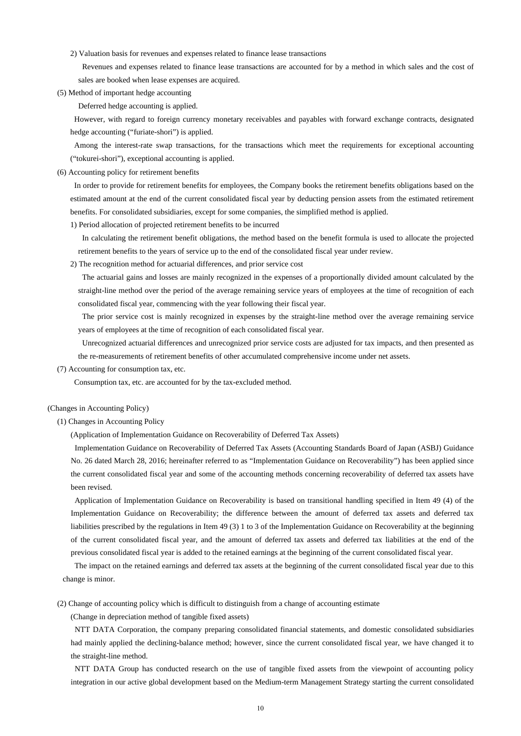2) Valuation basis for revenues and expenses related to finance lease transactions

Revenues and expenses related to finance lease transactions are accounted for by a method in which sales and the cost of sales are booked when lease expenses are acquired.

(5) Method of important hedge accounting

Deferred hedge accounting is applied.

However, with regard to foreign currency monetary receivables and payables with forward exchange contracts, designated hedge accounting ("furiate-shori") is applied.

Among the interest-rate swap transactions, for the transactions which meet the requirements for exceptional accounting ("tokurei-shori"), exceptional accounting is applied.

(6) Accounting policy for retirement benefits

In order to provide for retirement benefits for employees, the Company books the retirement benefits obligations based on the estimated amount at the end of the current consolidated fiscal year by deducting pension assets from the estimated retirement benefits. For consolidated subsidiaries, except for some companies, the simplified method is applied.

1) Period allocation of projected retirement benefits to be incurred

In calculating the retirement benefit obligations, the method based on the benefit formula is used to allocate the projected retirement benefits to the years of service up to the end of the consolidated fiscal year under review.

2) The recognition method for actuarial differences, and prior service cost

The actuarial gains and losses are mainly recognized in the expenses of a proportionally divided amount calculated by the straight-line method over the period of the average remaining service years of employees at the time of recognition of each consolidated fiscal year, commencing with the year following their fiscal year.

The prior service cost is mainly recognized in expenses by the straight-line method over the average remaining service years of employees at the time of recognition of each consolidated fiscal year.

Unrecognized actuarial differences and unrecognized prior service costs are adjusted for tax impacts, and then presented as the re-measurements of retirement benefits of other accumulated comprehensive income under net assets.

(7) Accounting for consumption tax, etc.

Consumption tax, etc. are accounted for by the tax-excluded method.

#### (Changes in Accounting Policy)

(1) Changes in Accounting Policy

(Application of Implementation Guidance on Recoverability of Deferred Tax Assets)

Implementation Guidance on Recoverability of Deferred Tax Assets (Accounting Standards Board of Japan (ASBJ) Guidance No. 26 dated March 28, 2016; hereinafter referred to as "Implementation Guidance on Recoverability") has been applied since the current consolidated fiscal year and some of the accounting methods concerning recoverability of deferred tax assets have been revised.

Application of Implementation Guidance on Recoverability is based on transitional handling specified in Item 49 (4) of the Implementation Guidance on Recoverability; the difference between the amount of deferred tax assets and deferred tax liabilities prescribed by the regulations in Item 49 (3) 1 to 3 of the Implementation Guidance on Recoverability at the beginning of the current consolidated fiscal year, and the amount of deferred tax assets and deferred tax liabilities at the end of the previous consolidated fiscal year is added to the retained earnings at the beginning of the current consolidated fiscal year.

 The impact on the retained earnings and deferred tax assets at the beginning of the current consolidated fiscal year due to this change is minor.

(2) Change of accounting policy which is difficult to distinguish from a change of accounting estimate

(Change in depreciation method of tangible fixed assets)

NTT DATA Corporation, the company preparing consolidated financial statements, and domestic consolidated subsidiaries had mainly applied the declining-balance method; however, since the current consolidated fiscal year, we have changed it to the straight-line method.

NTT DATA Group has conducted research on the use of tangible fixed assets from the viewpoint of accounting policy integration in our active global development based on the Medium-term Management Strategy starting the current consolidated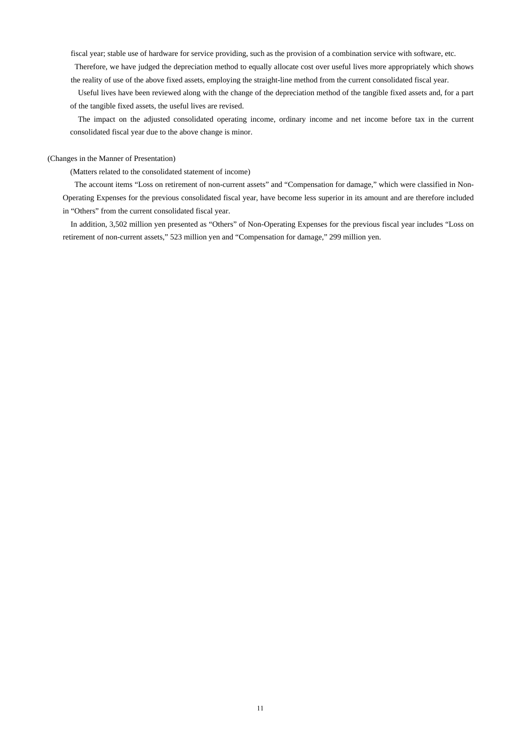fiscal year; stable use of hardware for service providing, such as the provision of a combination service with software, etc.

Therefore, we have judged the depreciation method to equally allocate cost over useful lives more appropriately which shows the reality of use of the above fixed assets, employing the straight-line method from the current consolidated fiscal year.

Useful lives have been reviewed along with the change of the depreciation method of the tangible fixed assets and, for a part of the tangible fixed assets, the useful lives are revised.

The impact on the adjusted consolidated operating income, ordinary income and net income before tax in the current consolidated fiscal year due to the above change is minor.

#### (Changes in the Manner of Presentation)

(Matters related to the consolidated statement of income)

 The account items "Loss on retirement of non-current assets" and "Compensation for damage," which were classified in Non-Operating Expenses for the previous consolidated fiscal year, have become less superior in its amount and are therefore included in "Others" from the current consolidated fiscal year.

In addition, 3,502 million yen presented as "Others" of Non-Operating Expenses for the previous fiscal year includes "Loss on retirement of non-current assets," 523 million yen and "Compensation for damage," 299 million yen.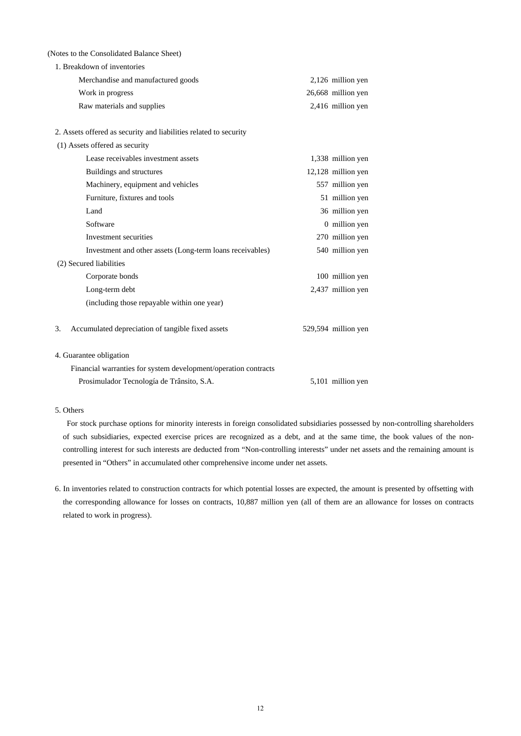(Notes to the Consolidated Balance Sheet)

| 1. Breakdown of inventories                                       |                     |
|-------------------------------------------------------------------|---------------------|
| Merchandise and manufactured goods                                | 2,126 million yen   |
| Work in progress                                                  | 26,668 million yen  |
| Raw materials and supplies                                        | 2,416 million yen   |
|                                                                   |                     |
| 2. Assets offered as security and liabilities related to security |                     |
| (1) Assets offered as security                                    |                     |
| Lease receivables investment assets                               | 1,338 million yen   |
| Buildings and structures                                          | 12,128 million yen  |
| Machinery, equipment and vehicles                                 | 557 million yen     |
| Furniture, fixtures and tools                                     | 51 million yen      |
| Land                                                              | 36 million yen      |
| Software                                                          | 0 million yen       |
| Investment securities                                             | 270 million yen     |
| Investment and other assets (Long-term loans receivables)         | 540 million yen     |
| (2) Secured liabilities                                           |                     |
| Corporate bonds                                                   | 100 million yen     |
| Long-term debt                                                    | 2,437 million yen   |
| (including those repayable within one year)                       |                     |
| Accumulated depreciation of tangible fixed assets<br>3.           | 529,594 million yen |
| 4. Guarantee obligation                                           |                     |
| Financial warranties for system development/operation contracts   |                     |
| Prosimulador Tecnología de Trânsito, S.A.                         | 5,101 million yen   |

## 5. Others

For stock purchase options for minority interests in foreign consolidated subsidiaries possessed by non-controlling shareholders of such subsidiaries, expected exercise prices are recognized as a debt, and at the same time, the book values of the noncontrolling interest for such interests are deducted from "Non-controlling interests" under net assets and the remaining amount is presented in "Others" in accumulated other comprehensive income under net assets.

6. In inventories related to construction contracts for which potential losses are expected, the amount is presented by offsetting with the corresponding allowance for losses on contracts, 10,887 million yen (all of them are an allowance for losses on contracts related to work in progress).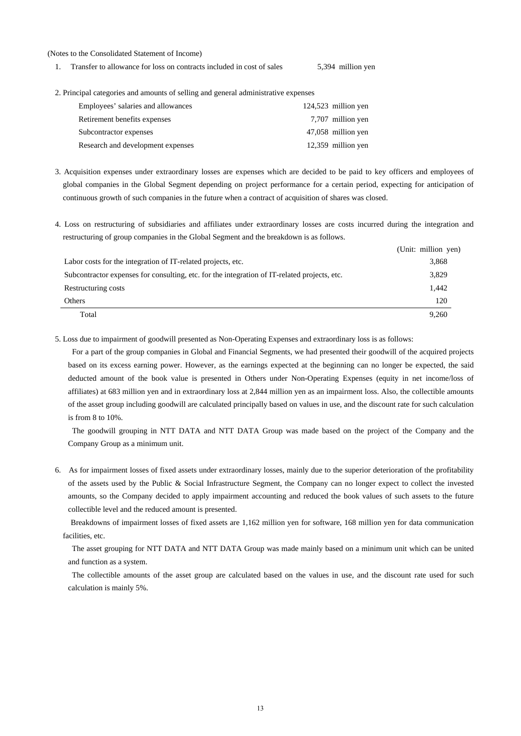#### (Notes to the Consolidated Statement of Income)

- 1. Transfer to allowance for loss on contracts included in cost of sales 5,394 million yen
- 2. Principal categories and amounts of selling and general administrative expenses

| Employees' salaries and allowances | $124,523$ million yen |
|------------------------------------|-----------------------|
| Retirement benefits expenses       | 7,707 million yen     |
| Subcontractor expenses             | 47,058 million yen    |
| Research and development expenses  | 12,359 million yen    |

- 3. Acquisition expenses under extraordinary losses are expenses which are decided to be paid to key officers and employees of global companies in the Global Segment depending on project performance for a certain period, expecting for anticipation of continuous growth of such companies in the future when a contract of acquisition of shares was closed.
- 4. Loss on restructuring of subsidiaries and affiliates under extraordinary losses are costs incurred during the integration and restructuring of group companies in the Global Segment and the breakdown is as follows.

|                                                                                              | (Unit: million yen) |
|----------------------------------------------------------------------------------------------|---------------------|
| Labor costs for the integration of IT-related projects, etc.                                 | 3,868               |
| Subcontractor expenses for consulting, etc. for the integration of IT-related projects, etc. | 3,829               |
| Restructuring costs                                                                          | 1.442               |
| Others                                                                                       | 120                 |
| Total                                                                                        | 9,260               |

5. Loss due to impairment of goodwill presented as Non-Operating Expenses and extraordinary loss is as follows:

For a part of the group companies in Global and Financial Segments, we had presented their goodwill of the acquired projects based on its excess earning power. However, as the earnings expected at the beginning can no longer be expected, the said deducted amount of the book value is presented in Others under Non-Operating Expenses (equity in net income/loss of affiliates) at 683 million yen and in extraordinary loss at 2,844 million yen as an impairment loss. Also, the collectible amounts of the asset group including goodwill are calculated principally based on values in use, and the discount rate for such calculation is from 8 to 10%.

The goodwill grouping in NTT DATA and NTT DATA Group was made based on the project of the Company and the Company Group as a minimum unit.

6. As for impairment losses of fixed assets under extraordinary losses, mainly due to the superior deterioration of the profitability of the assets used by the Public & Social Infrastructure Segment, the Company can no longer expect to collect the invested amounts, so the Company decided to apply impairment accounting and reduced the book values of such assets to the future collectible level and the reduced amount is presented.

 Breakdowns of impairment losses of fixed assets are 1,162 million yen for software, 168 million yen for data communication facilities, etc.

The asset grouping for NTT DATA and NTT DATA Group was made mainly based on a minimum unit which can be united and function as a system.

The collectible amounts of the asset group are calculated based on the values in use, and the discount rate used for such calculation is mainly 5%.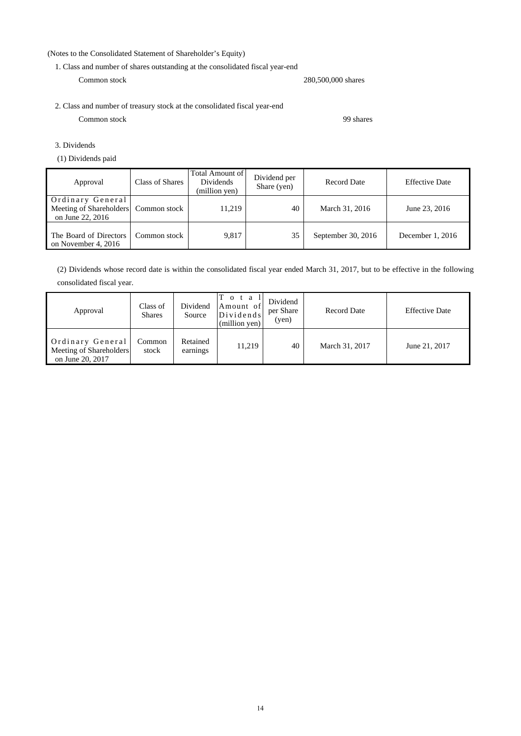## (Notes to the Consolidated Statement of Shareholder's Equity)

1. Class and number of shares outstanding at the consolidated fiscal year-end

Common stock 280,500,000 shares

2. Class and number of treasury stock at the consolidated fiscal year-end Common stock 99 shares

3. Dividends

(1) Dividends paid

| Approval                                                        | Class of Shares | <b>Total Amount of</b><br><b>Dividends</b><br>(million yen) | Dividend per<br>Share (yen) | Record Date        | <b>Effective Date</b> |
|-----------------------------------------------------------------|-----------------|-------------------------------------------------------------|-----------------------------|--------------------|-----------------------|
| Ordinary General<br>Meeting of Shareholders<br>on June 22, 2016 | Common stock    | 11,219                                                      | 40                          | March 31, 2016     | June 23, 2016         |
| The Board of Directors<br>on November 4, 2016                   | Common stock    | 9,817                                                       | 35                          | September 30, 2016 | December 1, 2016      |

(2) Dividends whose record date is within the consolidated fiscal year ended March 31, 2017, but to be effective in the following consolidated fiscal year.

| Approval                                                        | Class of<br><b>Shares</b> | Dividend<br>Source   | T o t a<br>Amount of<br>Dividends'<br>(million yen) | Dividend<br>per Share<br>(ven) | <b>Record Date</b> | <b>Effective Date</b> |
|-----------------------------------------------------------------|---------------------------|----------------------|-----------------------------------------------------|--------------------------------|--------------------|-----------------------|
| Ordinary General<br>Meeting of Shareholders<br>on June 20, 2017 | Common<br>stock           | Retained<br>earnings | 11.219                                              | 40                             | March 31, 2017     | June 21, 2017         |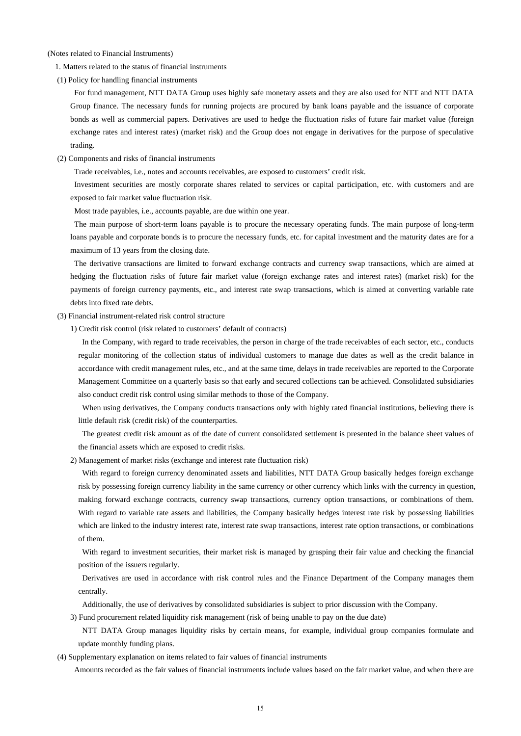(Notes related to Financial Instruments)

1. Matters related to the status of financial instruments

(1) Policy for handling financial instruments

 For fund management, NTT DATA Group uses highly safe monetary assets and they are also used for NTT and NTT DATA Group finance. The necessary funds for running projects are procured by bank loans payable and the issuance of corporate bonds as well as commercial papers. Derivatives are used to hedge the fluctuation risks of future fair market value (foreign exchange rates and interest rates) (market risk) and the Group does not engage in derivatives for the purpose of speculative trading.

#### (2) Components and risks of financial instruments

Trade receivables, i.e., notes and accounts receivables, are exposed to customers' credit risk.

Investment securities are mostly corporate shares related to services or capital participation, etc. with customers and are exposed to fair market value fluctuation risk.

Most trade payables, i.e., accounts payable, are due within one year.

 The main purpose of short-term loans payable is to procure the necessary operating funds. The main purpose of long-term loans payable and corporate bonds is to procure the necessary funds, etc. for capital investment and the maturity dates are for a maximum of 13 years from the closing date.

The derivative transactions are limited to forward exchange contracts and currency swap transactions, which are aimed at hedging the fluctuation risks of future fair market value (foreign exchange rates and interest rates) (market risk) for the payments of foreign currency payments, etc., and interest rate swap transactions, which is aimed at converting variable rate debts into fixed rate debts.

#### (3) Financial instrument-related risk control structure

1) Credit risk control (risk related to customers' default of contracts)

In the Company, with regard to trade receivables, the person in charge of the trade receivables of each sector, etc., conducts regular monitoring of the collection status of individual customers to manage due dates as well as the credit balance in accordance with credit management rules, etc., and at the same time, delays in trade receivables are reported to the Corporate Management Committee on a quarterly basis so that early and secured collections can be achieved. Consolidated subsidiaries also conduct credit risk control using similar methods to those of the Company.

When using derivatives, the Company conducts transactions only with highly rated financial institutions, believing there is little default risk (credit risk) of the counterparties.

The greatest credit risk amount as of the date of current consolidated settlement is presented in the balance sheet values of the financial assets which are exposed to credit risks.

2) Management of market risks (exchange and interest rate fluctuation risk)

With regard to foreign currency denominated assets and liabilities, NTT DATA Group basically hedges foreign exchange risk by possessing foreign currency liability in the same currency or other currency which links with the currency in question, making forward exchange contracts, currency swap transactions, currency option transactions, or combinations of them. With regard to variable rate assets and liabilities, the Company basically hedges interest rate risk by possessing liabilities which are linked to the industry interest rate, interest rate swap transactions, interest rate option transactions, or combinations of them.

With regard to investment securities, their market risk is managed by grasping their fair value and checking the financial position of the issuers regularly.

Derivatives are used in accordance with risk control rules and the Finance Department of the Company manages them centrally.

Additionally, the use of derivatives by consolidated subsidiaries is subject to prior discussion with the Company.

3) Fund procurement related liquidity risk management (risk of being unable to pay on the due date)

NTT DATA Group manages liquidity risks by certain means, for example, individual group companies formulate and update monthly funding plans.

(4) Supplementary explanation on items related to fair values of financial instruments

Amounts recorded as the fair values of financial instruments include values based on the fair market value, and when there are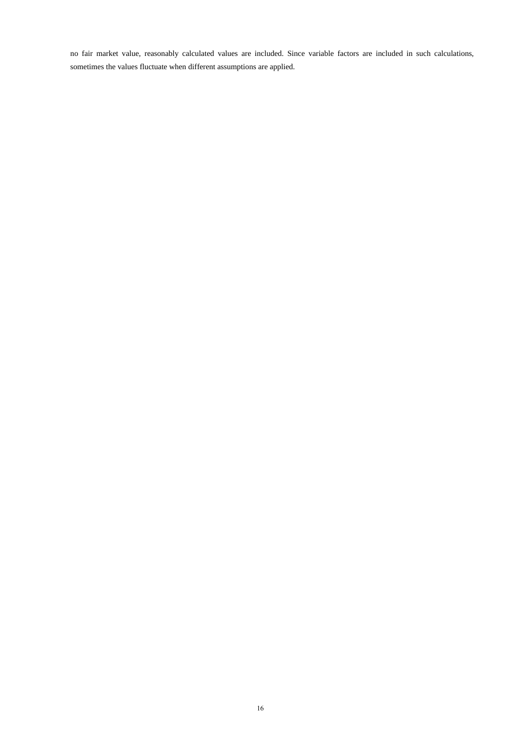no fair market value, reasonably calculated values are included. Since variable factors are included in such calculations, sometimes the values fluctuate when different assumptions are applied.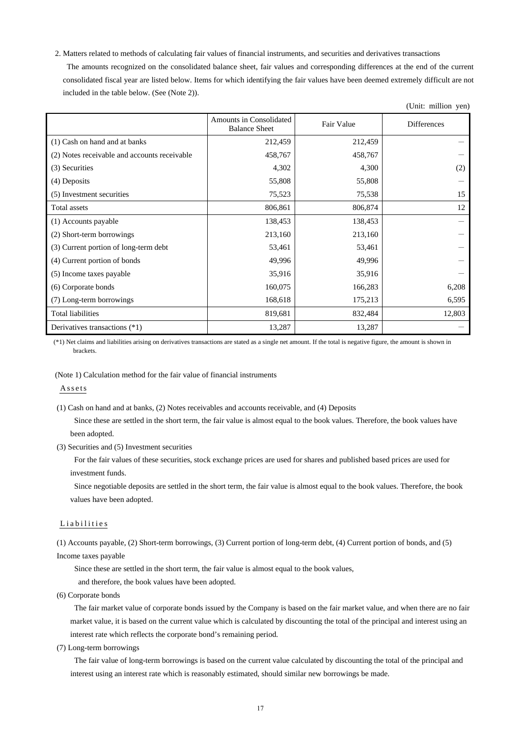2. Matters related to methods of calculating fair values of financial instruments, and securities and derivatives transactions The amounts recognized on the consolidated balance sheet, fair values and corresponding differences at the end of the current consolidated fiscal year are listed below. Items for which identifying the fair values have been deemed extremely difficult are not included in the table below. (See (Note 2)).

 $(TU, U, \ldots, m)$ 

| $\text{C}$ (Ome. Immon year)                 |                                                 |            |                    |  |  |  |
|----------------------------------------------|-------------------------------------------------|------------|--------------------|--|--|--|
|                                              | Amounts in Consolidated<br><b>Balance Sheet</b> | Fair Value | <b>Differences</b> |  |  |  |
| (1) Cash on hand and at banks                | 212,459                                         | 212,459    |                    |  |  |  |
| (2) Notes receivable and accounts receivable | 458,767                                         | 458,767    |                    |  |  |  |
| (3) Securities                               | 4,302                                           | 4,300      | (2)                |  |  |  |
| (4) Deposits                                 | 55,808                                          | 55,808     |                    |  |  |  |
| (5) Investment securities                    | 75,523                                          | 75,538     | 15                 |  |  |  |
| Total assets                                 | 806,861                                         | 806,874    | 12                 |  |  |  |
| (1) Accounts payable                         | 138,453                                         | 138,453    |                    |  |  |  |
| (2) Short-term borrowings                    | 213,160                                         | 213,160    |                    |  |  |  |
| (3) Current portion of long-term debt        | 53,461                                          | 53,461     |                    |  |  |  |
| (4) Current portion of bonds                 | 49,996                                          | 49,996     |                    |  |  |  |
| (5) Income taxes payable                     | 35,916                                          | 35,916     |                    |  |  |  |
| (6) Corporate bonds                          | 160,075                                         | 166,283    | 6,208              |  |  |  |
| (7) Long-term borrowings                     | 168,618                                         | 175,213    | 6,595              |  |  |  |
| <b>Total liabilities</b>                     | 819,681                                         | 832,484    | 12,803             |  |  |  |
| Derivatives transactions (*1)                | 13,287                                          | 13,287     |                    |  |  |  |

(\*1) Net claims and liabilities arising on derivatives transactions are stated as a single net amount. If the total is negative figure, the amount is shown in brackets.

(Note 1) Calculation method for the fair value of financial instruments

Assets

(1) Cash on hand and at banks, (2) Notes receivables and accounts receivable, and (4) Deposits

Since these are settled in the short term, the fair value is almost equal to the book values. Therefore, the book values have been adopted.

(3) Securities and (5) Investment securities

For the fair values of these securities, stock exchange prices are used for shares and published based prices are used for investment funds.

Since negotiable deposits are settled in the short term, the fair value is almost equal to the book values. Therefore, the book values have been adopted.

#### Liabilities

(1) Accounts payable, (2) Short-term borrowings, (3) Current portion of long-term debt, (4) Current portion of bonds, and (5) Income taxes payable

Since these are settled in the short term, the fair value is almost equal to the book values,

and therefore, the book values have been adopted.

(6) Corporate bonds

The fair market value of corporate bonds issued by the Company is based on the fair market value, and when there are no fair market value, it is based on the current value which is calculated by discounting the total of the principal and interest using an interest rate which reflects the corporate bond's remaining period.

(7) Long-term borrowings

The fair value of long-term borrowings is based on the current value calculated by discounting the total of the principal and interest using an interest rate which is reasonably estimated, should similar new borrowings be made.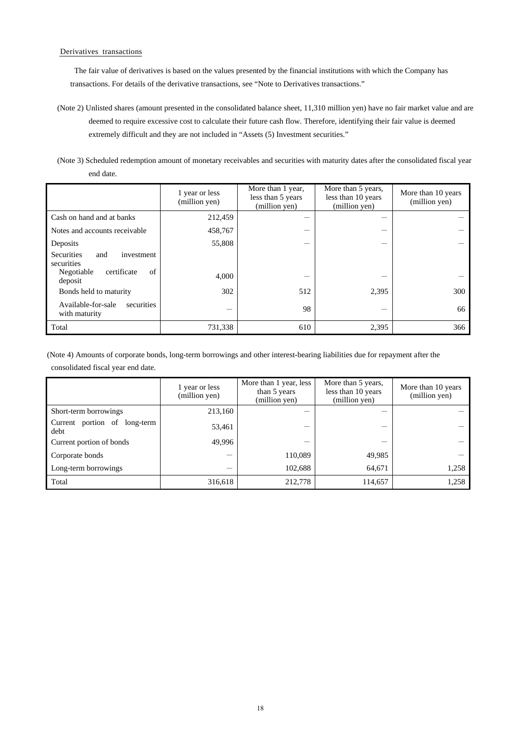#### Derivatives transactions

The fair value of derivatives is based on the values presented by the financial institutions with which the Company has transactions. For details of the derivative transactions, see "Note to Derivatives transactions."

- (Note 2) Unlisted shares (amount presented in the consolidated balance sheet, 11,310 million yen) have no fair market value and are deemed to require excessive cost to calculate their future cash flow. Therefore, identifying their fair value is deemed extremely difficult and they are not included in "Assets (5) Investment securities."
- (Note 3) Scheduled redemption amount of monetary receivables and securities with maturity dates after the consolidated fiscal year end date.

|                                                      | 1 year or less<br>(million yen) | More than 1 year,<br>less than 5 years<br>(million yen) | More than 5 years,<br>less than 10 years<br>(million yen) | More than 10 years<br>(million yen) |
|------------------------------------------------------|---------------------------------|---------------------------------------------------------|-----------------------------------------------------------|-------------------------------------|
| Cash on hand and at banks                            | 212,459                         |                                                         |                                                           |                                     |
| Notes and accounts receivable                        | 458,767                         |                                                         |                                                           |                                     |
| Deposits                                             | 55,808                          |                                                         |                                                           |                                     |
| <b>Securities</b><br>investment<br>and<br>securities |                                 |                                                         |                                                           |                                     |
| certificate<br>Negotiable<br>of<br>deposit           | 4,000                           |                                                         |                                                           |                                     |
| Bonds held to maturity                               | 302                             | 512                                                     | 2,395                                                     | 300                                 |
| Available-for-sale<br>securities<br>with maturity    |                                 | 98                                                      |                                                           | 66                                  |
| Total                                                | 731,338                         | 610                                                     | 2,395                                                     | 366                                 |

(Note 4) Amounts of corporate bonds, long-term borrowings and other interest-bearing liabilities due for repayment after the consolidated fiscal year end date.

|                                      | 1 year or less<br>(million yen) | More than 1 year, less<br>than 5 years<br>(million yen) | More than 5 years,<br>less than 10 years<br>(million yen) | More than 10 years<br>(million yen) |
|--------------------------------------|---------------------------------|---------------------------------------------------------|-----------------------------------------------------------|-------------------------------------|
| Short-term borrowings                | 213,160                         |                                                         |                                                           |                                     |
| Current portion of long-term<br>debt | 53,461                          |                                                         |                                                           |                                     |
| Current portion of bonds             | 49,996                          |                                                         |                                                           |                                     |
| Corporate bonds                      |                                 | 110,089                                                 | 49,985                                                    |                                     |
| Long-term borrowings                 |                                 | 102,688                                                 | 64,671                                                    | 1,258                               |
| Total                                | 316,618                         | 212,778                                                 | 114,657                                                   | 1,258                               |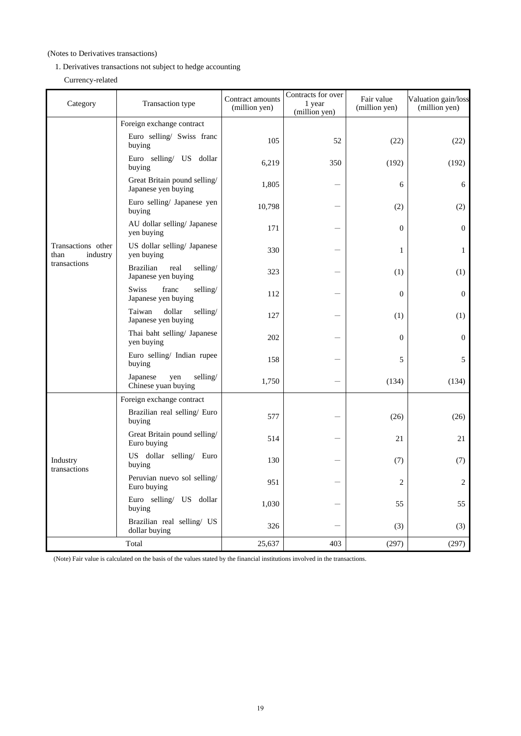## (Notes to Derivatives transactions)

- 1. Derivatives transactions not subject to hedge accounting
	- Currency-related

| Category                               | Transaction type                                            | Contract amounts<br>(million yen) | Contracts for over<br>1 year<br>(million yen) | Fair value<br>(million yen) | Valuation gain/loss<br>(million yen) |
|----------------------------------------|-------------------------------------------------------------|-----------------------------------|-----------------------------------------------|-----------------------------|--------------------------------------|
|                                        | Foreign exchange contract                                   |                                   |                                               |                             |                                      |
|                                        | Euro selling/ Swiss franc<br>buying                         | 105                               | 52                                            | (22)                        | (22)                                 |
|                                        | Euro selling/ US dollar<br>buying                           | 6,219                             | 350                                           | (192)                       | (192)                                |
|                                        | Great Britain pound selling/<br>Japanese yen buying         | 1,805                             |                                               | 6                           | 6                                    |
|                                        | Euro selling/ Japanese yen<br>buying                        | 10,798                            |                                               | (2)                         | (2)                                  |
|                                        | AU dollar selling/ Japanese<br>yen buying                   | 171                               |                                               | $\mathbf{0}$                | $\overline{0}$                       |
| Transactions other<br>industry<br>than | US dollar selling/ Japanese<br>yen buying                   | 330                               |                                               | 1                           | $\mathbf{1}$                         |
| transactions                           | <b>Brazilian</b><br>real<br>selling/<br>Japanese yen buying | 323                               |                                               | (1)                         | (1)                                  |
|                                        | Swiss<br>franc<br>selling/<br>Japanese yen buying           | 112                               |                                               | $\mathbf{0}$                | $\mathbf{0}$                         |
|                                        | Taiwan<br>dollar<br>selling/<br>Japanese yen buying         | 127                               |                                               | (1)                         | (1)                                  |
|                                        | Thai baht selling/ Japanese<br>yen buying                   | 202                               |                                               | $\mathbf{0}$                | $\mathbf{0}$                         |
|                                        | Euro selling/ Indian rupee<br>buying                        | 158                               |                                               | 5                           | 5                                    |
|                                        | selling/<br>Japanese<br>yen<br>Chinese yuan buying          | 1,750                             |                                               | (134)                       | (134)                                |
|                                        | Foreign exchange contract                                   |                                   |                                               |                             |                                      |
|                                        | Brazilian real selling/ Euro<br>buying                      | 577                               |                                               | (26)                        | (26)                                 |
|                                        | Great Britain pound selling/<br>Euro buying                 | 514                               |                                               | 21                          | 21                                   |
| Industry<br>transactions               | US dollar selling/ Euro<br>buying                           | 130                               |                                               | (7)                         | (7)                                  |
|                                        | Peruvian nuevo sol selling/<br>Euro buying                  | 951                               |                                               | 2                           | 2                                    |
|                                        | Euro selling/ US dollar<br>buying                           | 1,030                             |                                               | 55                          | 55                                   |
|                                        | Brazilian real selling/ US<br>dollar buying                 | 326                               |                                               | (3)                         | (3)                                  |
|                                        | Total                                                       | 25,637                            | 403                                           | (297)                       | (297)                                |

(Note) Fair value is calculated on the basis of the values stated by the financial institutions involved in the transactions.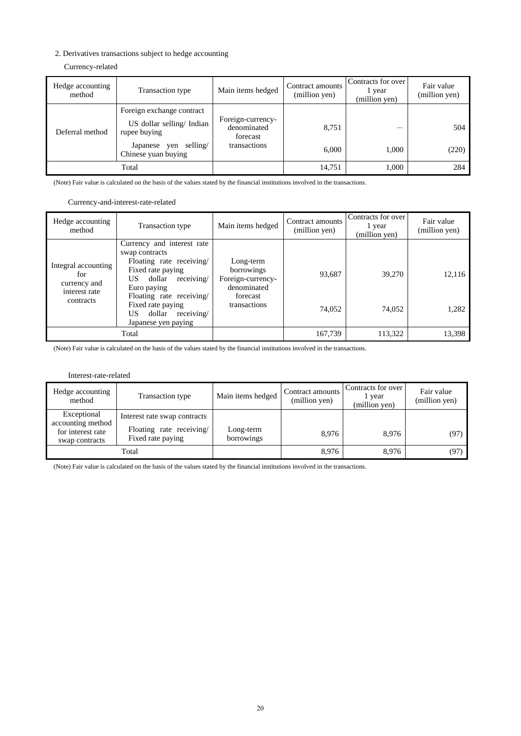### 2. Derivatives transactions subject to hedge accounting

## Currency-related

| Hedge accounting<br>method | Transaction type                                                                                     | Main items hedged                                            | Contract amounts<br>(million yen) | Contracts for over<br>l year<br>(million yen) | Fair value<br>(million yen) |
|----------------------------|------------------------------------------------------------------------------------------------------|--------------------------------------------------------------|-----------------------------------|-----------------------------------------------|-----------------------------|
| Deferral method            | Foreign exchange contract<br>US dollar selling/Indian<br>rupee buying<br>selling/<br>Japanese<br>yen | Foreign-currency-<br>denominated<br>forecast<br>transactions | 8,751<br>6,000                    | –<br>1.000                                    | 504<br>(220)                |
|                            | Chinese yuan buying                                                                                  |                                                              |                                   |                                               |                             |
|                            | Total                                                                                                |                                                              | 14,751                            | 1.000                                         | 284                         |

(Note) Fair value is calculated on the basis of the values stated by the financial institutions involved in the transactions.

### Currency-and-interest-rate-related

| Hedge accounting<br>method                                               | Transaction type                                                                                                                                                                                                                                  | Main items hedged                                                                       | Contract amounts<br>(million yen) | Contracts for over<br>1 year<br>(million yen) | Fair value<br>(million yen) |
|--------------------------------------------------------------------------|---------------------------------------------------------------------------------------------------------------------------------------------------------------------------------------------------------------------------------------------------|-----------------------------------------------------------------------------------------|-----------------------------------|-----------------------------------------------|-----------------------------|
| Integral accounting<br>for<br>currency and<br>interest rate<br>contracts | Currency and interest rate<br>swap contracts<br>Floating rate receiving/<br>Fixed rate paying<br>receiving/<br>dollar<br>US.<br>Euro paying<br>Floating rate receiving/<br>Fixed rate paying<br>receiving/<br>dollar<br>US<br>Japanese yen paying | Long-term<br>borrowings<br>Foreign-currency-<br>denominated<br>forecast<br>transactions | 93,687<br>74,052                  | 39,270<br>74,052                              | 12,116<br>1,282             |
|                                                                          | Total                                                                                                                                                                                                                                             |                                                                                         | 167,739                           | 113.322                                       | 13,398                      |

(Note) Fair value is calculated on the basis of the values stated by the financial institutions involved in the transactions.

#### Interest-rate-related

| Hedge accounting<br>method                                              | Transaction type                                                             | Main items hedged       | Contract amounts<br>(million yen) | Contracts for over<br>1 year<br>(million yen) | Fair value<br>(million yen) |
|-------------------------------------------------------------------------|------------------------------------------------------------------------------|-------------------------|-----------------------------------|-----------------------------------------------|-----------------------------|
| Exceptional<br>accounting method<br>for interest rate<br>swap contracts | Interest rate swap contracts<br>Floating rate receiving<br>Fixed rate paying | Long-term<br>borrowings | 8.976                             | 8.976                                         | (97)                        |
| Total                                                                   |                                                                              |                         | 8,976                             | 8.976                                         | (97)                        |

(Note) Fair value is calculated on the basis of the values stated by the financial institutions involved in the transactions.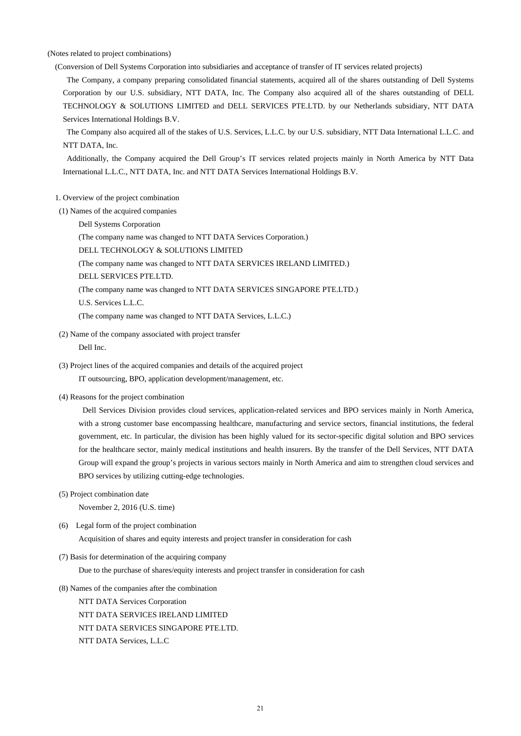(Notes related to project combinations)

(Conversion of Dell Systems Corporation into subsidiaries and acceptance of transfer of IT services related projects)

The Company, a company preparing consolidated financial statements, acquired all of the shares outstanding of Dell Systems Corporation by our U.S. subsidiary, NTT DATA, Inc. The Company also acquired all of the shares outstanding of DELL TECHNOLOGY & SOLUTIONS LIMITED and DELL SERVICES PTE.LTD. by our Netherlands subsidiary, NTT DATA Services International Holdings B.V.

The Company also acquired all of the stakes of U.S. Services, L.L.C. by our U.S. subsidiary, NTT Data International L.L.C. and NTT DATA, Inc.

Additionally, the Company acquired the Dell Group's IT services related projects mainly in North America by NTT Data International L.L.C., NTT DATA, Inc. and NTT DATA Services International Holdings B.V.

- 1. Overview of the project combination
- (1) Names of the acquired companies
	- Dell Systems Corporation

(The company name was changed to NTT DATA Services Corporation.)

DELL TECHNOLOGY & SOLUTIONS LIMITED

- (The company name was changed to NTT DATA SERVICES IRELAND LIMITED.)
- DELL SERVICES PTE.LTD.

(The company name was changed to NTT DATA SERVICES SINGAPORE PTE.LTD.)

U.S. Services L.L.C.

(The company name was changed to NTT DATA Services, L.L.C.)

(2) Name of the company associated with project transfer

Dell Inc.

- (3) Project lines of the acquired companies and details of the acquired project IT outsourcing, BPO, application development/management, etc.
- (4) Reasons for the project combination

Dell Services Division provides cloud services, application-related services and BPO services mainly in North America, with a strong customer base encompassing healthcare, manufacturing and service sectors, financial institutions, the federal government, etc. In particular, the division has been highly valued for its sector-specific digital solution and BPO services for the healthcare sector, mainly medical institutions and health insurers. By the transfer of the Dell Services, NTT DATA Group will expand the group's projects in various sectors mainly in North America and aim to strengthen cloud services and BPO services by utilizing cutting-edge technologies.

(5) Project combination date

November 2, 2016 (U.S. time)

(6) Legal form of the project combination

Acquisition of shares and equity interests and project transfer in consideration for cash

(7) Basis for determination of the acquiring company

Due to the purchase of shares/equity interests and project transfer in consideration for cash

(8) Names of the companies after the combination

NTT DATA Services Corporation NTT DATA SERVICES IRELAND LIMITED NTT DATA SERVICES SINGAPORE PTE.LTD. NTT DATA Services, L.L.C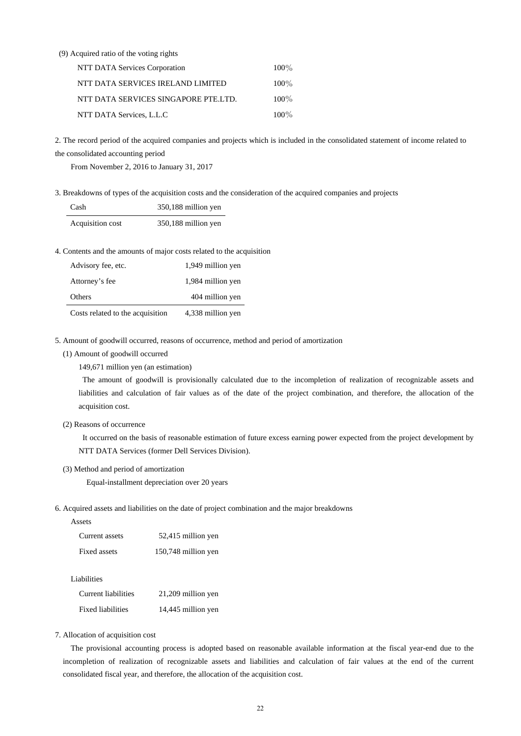### (9) Acquired ratio of the voting rights

| NTT DATA Services Corporation        | $100\%$ |
|--------------------------------------|---------|
| NTT DATA SERVICES IRELAND LIMITED    | $100\%$ |
| NTT DATA SERVICES SINGAPORE PTE.LTD. | $100\%$ |
| NTT DATA Services, L.L.C             | $100\%$ |

2. The record period of the acquired companies and projects which is included in the consolidated statement of income related to the consolidated accounting period

From November 2, 2016 to January 31, 2017

3. Breakdowns of types of the acquisition costs and the consideration of the acquired companies and projects

| Cash             | 350,188 million yen |
|------------------|---------------------|
| Acquisition cost | 350,188 million yen |

4. Contents and the amounts of major costs related to the acquisition

| Advisory fee, etc.               | 1,949 million yen |
|----------------------------------|-------------------|
| Attorney's fee                   | 1,984 million yen |
| Others                           | 404 million yen   |
| Costs related to the acquisition | 4,338 million yen |

5. Amount of goodwill occurred, reasons of occurrence, method and period of amortization

(1) Amount of goodwill occurred

149,671 million yen (an estimation)

The amount of goodwill is provisionally calculated due to the incompletion of realization of recognizable assets and liabilities and calculation of fair values as of the date of the project combination, and therefore, the allocation of the acquisition cost.

#### (2) Reasons of occurrence

It occurred on the basis of reasonable estimation of future excess earning power expected from the project development by NTT DATA Services (former Dell Services Division).

#### (3) Method and period of amortization

Equal-installment depreciation over 20 years

6. Acquired assets and liabilities on the date of project combination and the major breakdowns

| Current assets | 52,415 million yen  |
|----------------|---------------------|
| Fixed assets   | 150,748 million yen |

Liabilities

| Current liabilities | 21,209 million yen |
|---------------------|--------------------|
| Fixed liabilities   | 14,445 million yen |

7. Allocation of acquisition cost

The provisional accounting process is adopted based on reasonable available information at the fiscal year-end due to the incompletion of realization of recognizable assets and liabilities and calculation of fair values at the end of the current consolidated fiscal year, and therefore, the allocation of the acquisition cost.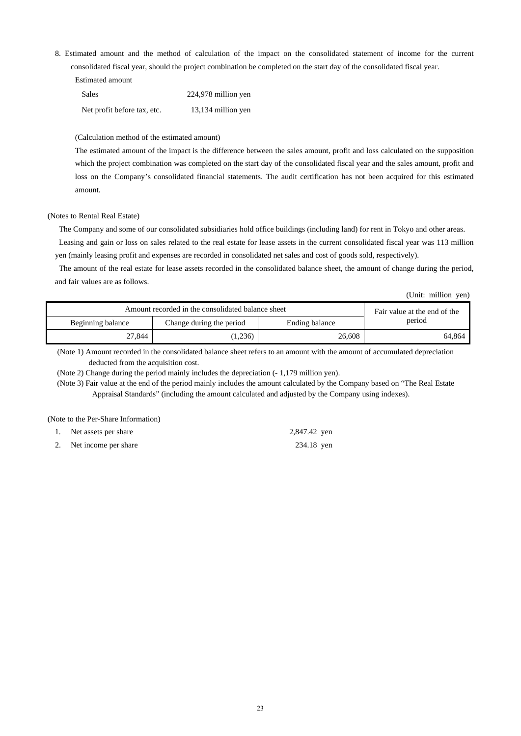8. Estimated amount and the method of calculation of the impact on the consolidated statement of income for the current consolidated fiscal year, should the project combination be completed on the start day of the consolidated fiscal year.

| Sales                       | 224,978 million yen |
|-----------------------------|---------------------|
| Net profit before tax, etc. | 13,134 million yen  |

#### (Calculation method of the estimated amount)

The estimated amount of the impact is the difference between the sales amount, profit and loss calculated on the supposition which the project combination was completed on the start day of the consolidated fiscal year and the sales amount, profit and loss on the Company's consolidated financial statements. The audit certification has not been acquired for this estimated amount.

#### (Notes to Rental Real Estate)

The Company and some of our consolidated subsidiaries hold office buildings (including land) for rent in Tokyo and other areas. Leasing and gain or loss on sales related to the real estate for lease assets in the current consolidated fiscal year was 113 million yen (mainly leasing profit and expenses are recorded in consolidated net sales and cost of goods sold, respectively).

The amount of the real estate for lease assets recorded in the consolidated balance sheet, the amount of change during the period, and fair values are as follows.

(Unit: million yen)

| Amount recorded in the consolidated balance sheet |                          |                | Fair value at the end of the |  |
|---------------------------------------------------|--------------------------|----------------|------------------------------|--|
| Beginning balance                                 | Change during the period | Ending balance | period                       |  |
| 27.844                                            | 1,236)                   | 26,608         | 64,864                       |  |

(Note 1) Amount recorded in the consolidated balance sheet refers to an amount with the amount of accumulated depreciation deducted from the acquisition cost.

(Note 2) Change during the period mainly includes the depreciation (- 1,179 million yen).

(Note 3) Fair value at the end of the period mainly includes the amount calculated by the Company based on "The Real Estate Appraisal Standards" (including the amount calculated and adjusted by the Company using indexes).

(Note to the Per-Share Information)

| 1. Net assets per share | 2,847.42 yen |
|-------------------------|--------------|
| 2. Net income per share | 234.18 yen   |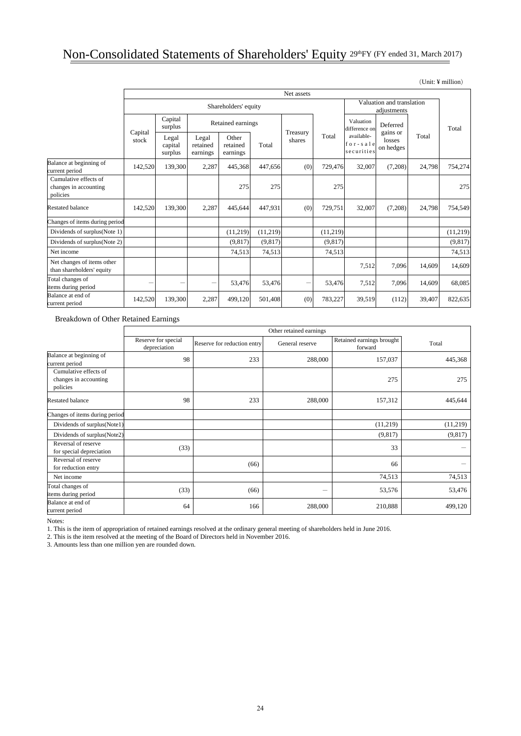## Non-Consolidated Statements of Shareholders' Equity 29thFY (FY ended 31, March 2017)

|                                                            | Net assets           |                             |                               |                               |          |                                          |          |                                      |                                             |        |          |
|------------------------------------------------------------|----------------------|-----------------------------|-------------------------------|-------------------------------|----------|------------------------------------------|----------|--------------------------------------|---------------------------------------------|--------|----------|
|                                                            | Shareholders' equity |                             |                               |                               |          | Valuation and translation<br>adjustments |          |                                      |                                             |        |          |
|                                                            | Capital<br>stock     | Capital<br>surplus          |                               | Retained earnings             |          |                                          |          | Valuation<br>difference on           | Deferred<br>gains or<br>losses<br>on hedges |        | Total    |
|                                                            |                      | Legal<br>capital<br>surplus | Legal<br>retained<br>earnings | Other<br>retained<br>earnings | Total    | Treasury<br>shares                       | Total    | available-<br>for-sale<br>securities |                                             | Total  |          |
| Balance at beginning of<br>current period                  | 142,520              | 139,300                     | 2,287                         | 445,368                       | 447,656  | (0)                                      | 729,476  | 32,007                               | (7,208)                                     | 24,798 | 754,274  |
| Cumulative effects of<br>changes in accounting<br>policies |                      |                             |                               | 275                           | 275      |                                          | 275      |                                      |                                             |        | 275      |
| <b>Restated balance</b>                                    | 142,520              | 139,300                     | 2,287                         | 445.644                       | 447.931  | (0)                                      | 729,751  | 32,007                               | (7,208)                                     | 24,798 | 754,549  |
| Changes of items during period                             |                      |                             |                               |                               |          |                                          |          |                                      |                                             |        |          |
| Dividends of surplus (Note 1)                              |                      |                             |                               | (11,219)                      | (11,219) |                                          | (11,219) |                                      |                                             |        | (11,219) |
| Dividends of surplus (Note 2)                              |                      |                             |                               | (9,817)                       | (9,817)  |                                          | (9,817)  |                                      |                                             |        | (9, 817) |
| Net income                                                 |                      |                             |                               | 74,513                        | 74,513   |                                          | 74,513   |                                      |                                             |        | 74,513   |
| Net changes of items other<br>than shareholders' equity    |                      |                             |                               |                               |          |                                          |          | 7,512                                | 7,096                                       | 14,609 | 14,609   |
| Total changes of<br>items during period                    | -                    | -                           |                               | 53,476                        | 53,476   | -                                        | 53,476   | 7,512                                | 7,096                                       | 14,609 | 68,085   |
| Balance at end of<br>current period                        | 142,520              | 139,300                     | 2,287                         | 499,120                       | 501,408  | (0)                                      | 783,227  | 39,519                               | (112)                                       | 39,407 | 822,635  |

Breakdown of Other Retained Earnings

|                                                            | Other retained earnings             |                             |                 |                                      |          |  |
|------------------------------------------------------------|-------------------------------------|-----------------------------|-----------------|--------------------------------------|----------|--|
|                                                            | Reserve for special<br>depreciation | Reserve for reduction entry | General reserve | Retained earnings brought<br>forward | Total    |  |
| Balance at beginning of<br>current period                  | 98                                  | 233                         | 288,000         | 157,037                              | 445,368  |  |
| Cumulative effects of<br>changes in accounting<br>policies |                                     |                             |                 | 275                                  | 275      |  |
| <b>Restated balance</b>                                    | 98                                  | 233                         | 288,000         | 157,312                              | 445,644  |  |
| Changes of items during period                             |                                     |                             |                 |                                      |          |  |
| Dividends of surplus(Note1)                                |                                     |                             |                 | (11,219)                             | (11,219) |  |
| Dividends of surplus(Note2)                                |                                     |                             |                 | (9,817)                              | (9, 817) |  |
| Reversal of reserve<br>for special depreciation            | (33)                                |                             |                 | 33                                   |          |  |
| Reversal of reserve<br>for reduction entry                 |                                     | (66)                        |                 | 66                                   |          |  |
| Net income                                                 |                                     |                             |                 | 74,513                               | 74,513   |  |
| Total changes of<br>items during period                    | (33)                                | (66)                        | -               | 53,576                               | 53,476   |  |
| Balance at end of<br>current period                        | 64                                  | 166                         | 288,000         | 210,888                              | 499,120  |  |

Notes:

1. This is the item of appropriation of retained earnings resolved at the ordinary general meeting of shareholders held in June 2016.

2. This is the item resolved at the meeting of the Board of Directors held in November 2016.

3. Amounts less than one million yen are rounded down.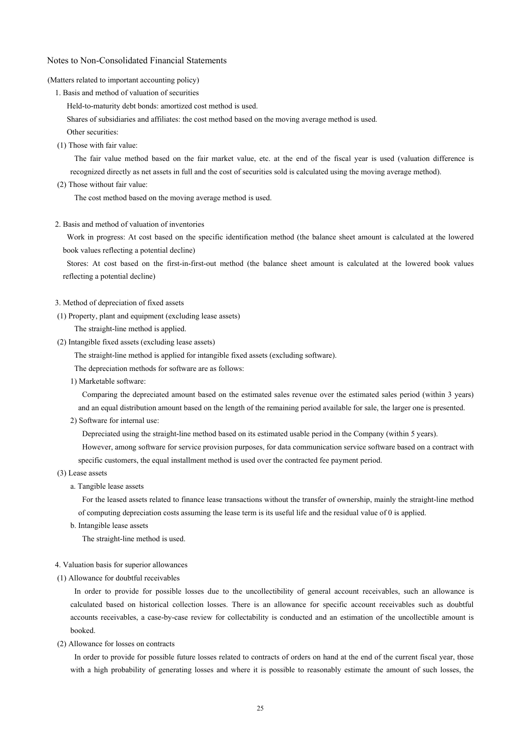#### Notes to Non-Consolidated Financial Statements

#### (Matters related to important accounting policy)

1. Basis and method of valuation of securities

Held-to-maturity debt bonds: amortized cost method is used.

Shares of subsidiaries and affiliates: the cost method based on the moving average method is used.

Other securities:

(1) Those with fair value:

The fair value method based on the fair market value, etc. at the end of the fiscal year is used (valuation difference is recognized directly as net assets in full and the cost of securities sold is calculated using the moving average method).

(2) Those without fair value:

The cost method based on the moving average method is used.

2. Basis and method of valuation of inventories

Work in progress: At cost based on the specific identification method (the balance sheet amount is calculated at the lowered book values reflecting a potential decline)

Stores: At cost based on the first-in-first-out method (the balance sheet amount is calculated at the lowered book values reflecting a potential decline)

#### 3. Method of depreciation of fixed assets

(1) Property, plant and equipment (excluding lease assets)

The straight-line method is applied.

- (2) Intangible fixed assets (excluding lease assets)
	- The straight-line method is applied for intangible fixed assets (excluding software).

The depreciation methods for software are as follows:

1) Marketable software:

Comparing the depreciated amount based on the estimated sales revenue over the estimated sales period (within 3 years) and an equal distribution amount based on the length of the remaining period available for sale, the larger one is presented.

2) Software for internal use:

Depreciated using the straight-line method based on its estimated usable period in the Company (within 5 years).

However, among software for service provision purposes, for data communication service software based on a contract with specific customers, the equal installment method is used over the contracted fee payment period.

- (3) Lease assets
	- a. Tangible lease assets

For the leased assets related to finance lease transactions without the transfer of ownership, mainly the straight-line method of computing depreciation costs assuming the lease term is its useful life and the residual value of 0 is applied.

b. Intangible lease assets

The straight-line method is used.

- 4. Valuation basis for superior allowances
- (1) Allowance for doubtful receivables

In order to provide for possible losses due to the uncollectibility of general account receivables, such an allowance is calculated based on historical collection losses. There is an allowance for specific account receivables such as doubtful accounts receivables, a case-by-case review for collectability is conducted and an estimation of the uncollectible amount is booked.

(2) Allowance for losses on contracts

In order to provide for possible future losses related to contracts of orders on hand at the end of the current fiscal year, those with a high probability of generating losses and where it is possible to reasonably estimate the amount of such losses, the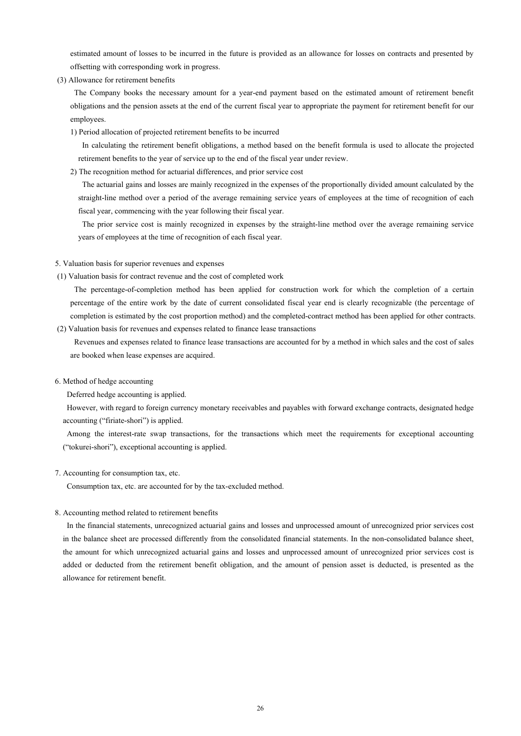estimated amount of losses to be incurred in the future is provided as an allowance for losses on contracts and presented by offsetting with corresponding work in progress.

(3) Allowance for retirement benefits

The Company books the necessary amount for a year-end payment based on the estimated amount of retirement benefit obligations and the pension assets at the end of the current fiscal year to appropriate the payment for retirement benefit for our employees.

1) Period allocation of projected retirement benefits to be incurred

In calculating the retirement benefit obligations, a method based on the benefit formula is used to allocate the projected retirement benefits to the year of service up to the end of the fiscal year under review.

2) The recognition method for actuarial differences, and prior service cost

The actuarial gains and losses are mainly recognized in the expenses of the proportionally divided amount calculated by the straight-line method over a period of the average remaining service years of employees at the time of recognition of each fiscal year, commencing with the year following their fiscal year.

The prior service cost is mainly recognized in expenses by the straight-line method over the average remaining service years of employees at the time of recognition of each fiscal year.

#### 5. Valuation basis for superior revenues and expenses

(1) Valuation basis for contract revenue and the cost of completed work

The percentage-of-completion method has been applied for construction work for which the completion of a certain percentage of the entire work by the date of current consolidated fiscal year end is clearly recognizable (the percentage of completion is estimated by the cost proportion method) and the completed-contract method has been applied for other contracts.

(2) Valuation basis for revenues and expenses related to finance lease transactions

Revenues and expenses related to finance lease transactions are accounted for by a method in which sales and the cost of sales are booked when lease expenses are acquired.

#### 6. Method of hedge accounting

Deferred hedge accounting is applied.

However, with regard to foreign currency monetary receivables and payables with forward exchange contracts, designated hedge accounting ("firiate-shori") is applied.

Among the interest-rate swap transactions, for the transactions which meet the requirements for exceptional accounting ("tokurei-shori"), exceptional accounting is applied.

### 7. Accounting for consumption tax, etc.

Consumption tax, etc. are accounted for by the tax-excluded method.

#### 8. Accounting method related to retirement benefits

In the financial statements, unrecognized actuarial gains and losses and unprocessed amount of unrecognized prior services cost in the balance sheet are processed differently from the consolidated financial statements. In the non-consolidated balance sheet, the amount for which unrecognized actuarial gains and losses and unprocessed amount of unrecognized prior services cost is added or deducted from the retirement benefit obligation, and the amount of pension asset is deducted, is presented as the allowance for retirement benefit.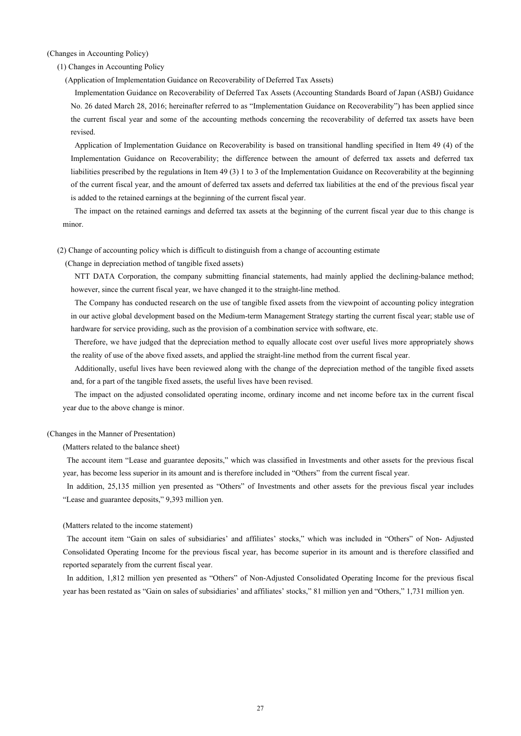(Changes in Accounting Policy)

(1) Changes in Accounting Policy

(Application of Implementation Guidance on Recoverability of Deferred Tax Assets)

Implementation Guidance on Recoverability of Deferred Tax Assets (Accounting Standards Board of Japan (ASBJ) Guidance No. 26 dated March 28, 2016; hereinafter referred to as "Implementation Guidance on Recoverability") has been applied since the current fiscal year and some of the accounting methods concerning the recoverability of deferred tax assets have been revised.

Application of Implementation Guidance on Recoverability is based on transitional handling specified in Item 49 (4) of the Implementation Guidance on Recoverability; the difference between the amount of deferred tax assets and deferred tax liabilities prescribed by the regulations in Item 49 (3) 1 to 3 of the Implementation Guidance on Recoverability at the beginning of the current fiscal year, and the amount of deferred tax assets and deferred tax liabilities at the end of the previous fiscal year is added to the retained earnings at the beginning of the current fiscal year.

The impact on the retained earnings and deferred tax assets at the beginning of the current fiscal year due to this change is minor.

(2) Change of accounting policy which is difficult to distinguish from a change of accounting estimate

(Change in depreciation method of tangible fixed assets)

NTT DATA Corporation, the company submitting financial statements, had mainly applied the declining-balance method; however, since the current fiscal year, we have changed it to the straight-line method.

The Company has conducted research on the use of tangible fixed assets from the viewpoint of accounting policy integration in our active global development based on the Medium-term Management Strategy starting the current fiscal year; stable use of hardware for service providing, such as the provision of a combination service with software, etc.

Therefore, we have judged that the depreciation method to equally allocate cost over useful lives more appropriately shows the reality of use of the above fixed assets, and applied the straight-line method from the current fiscal year.

Additionally, useful lives have been reviewed along with the change of the depreciation method of the tangible fixed assets and, for a part of the tangible fixed assets, the useful lives have been revised.

The impact on the adjusted consolidated operating income, ordinary income and net income before tax in the current fiscal year due to the above change is minor.

#### (Changes in the Manner of Presentation)

(Matters related to the balance sheet)

The account item "Lease and guarantee deposits," which was classified in Investments and other assets for the previous fiscal year, has become less superior in its amount and is therefore included in "Others" from the current fiscal year.

In addition, 25,135 million yen presented as "Others" of Investments and other assets for the previous fiscal year includes "Lease and guarantee deposits," 9,393 million yen.

#### (Matters related to the income statement)

The account item "Gain on sales of subsidiaries' and affiliates' stocks," which was included in "Others" of Non- Adjusted Consolidated Operating Income for the previous fiscal year, has become superior in its amount and is therefore classified and reported separately from the current fiscal year.

In addition, 1,812 million yen presented as "Others" of Non-Adjusted Consolidated Operating Income for the previous fiscal year has been restated as "Gain on sales of subsidiaries' and affiliates' stocks," 81 million yen and "Others," 1,731 million yen.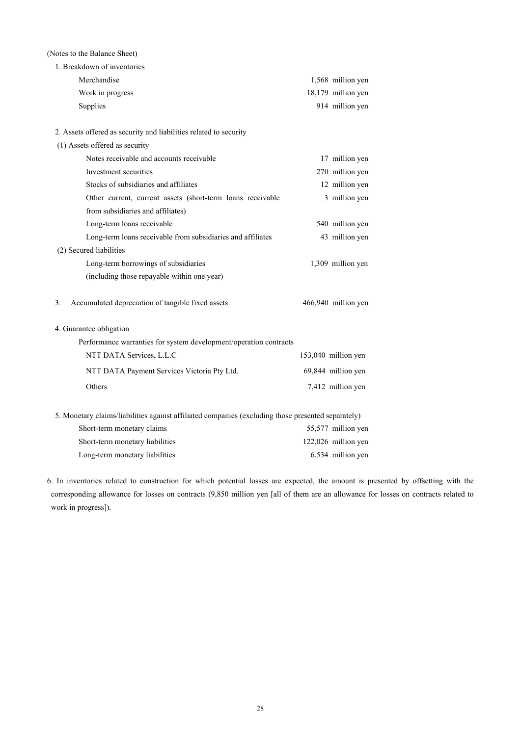## (Notes to the Balance Sheet)

| 1. Breakdown of inventories                                                                        |                     |
|----------------------------------------------------------------------------------------------------|---------------------|
| Merchandise                                                                                        | 1,568 million yen   |
| Work in progress                                                                                   | 18,179 million yen  |
| Supplies                                                                                           | 914 million yen     |
|                                                                                                    |                     |
| 2. Assets offered as security and liabilities related to security                                  |                     |
| (1) Assets offered as security                                                                     |                     |
| Notes receivable and accounts receivable                                                           | 17 million yen      |
| Investment securities                                                                              | 270 million yen     |
| Stocks of subsidiaries and affiliates                                                              | 12 million yen      |
| Other current, current assets (short-term loans receivable                                         | 3 million yen       |
| from subsidiaries and affiliates)                                                                  |                     |
| Long-term loans receivable                                                                         | 540 million yen     |
| Long-term loans receivable from subsidiaries and affiliates                                        | 43 million yen      |
| (2) Secured liabilities                                                                            |                     |
| Long-term borrowings of subsidiaries                                                               | 1,309 million yen   |
| (including those repayable within one year)                                                        |                     |
|                                                                                                    |                     |
| Accumulated depreciation of tangible fixed assets<br>3.                                            | 466,940 million yen |
| 4. Guarantee obligation                                                                            |                     |
| Performance warranties for system development/operation contracts                                  |                     |
| NTT DATA Services, L.L.C                                                                           | 153,040 million yen |
|                                                                                                    |                     |
| NTT DATA Payment Services Victoria Pty Ltd.                                                        | 69,844 million yen  |
| Others                                                                                             | 7,412 million yen   |
|                                                                                                    |                     |
| 5. Monetary claims/liabilities against affiliated companies (excluding those presented separately) |                     |

| Short-term monetary claims      | 55,577 million yen    |
|---------------------------------|-----------------------|
| Short-term monetary liabilities | $122,026$ million yen |
| Long-term monetary liabilities  | 6,534 million yen     |

6. In inventories related to construction for which potential losses are expected, the amount is presented by offsetting with the corresponding allowance for losses on contracts (9,850 million yen [all of them are an allowance for losses on contracts related to work in progress]).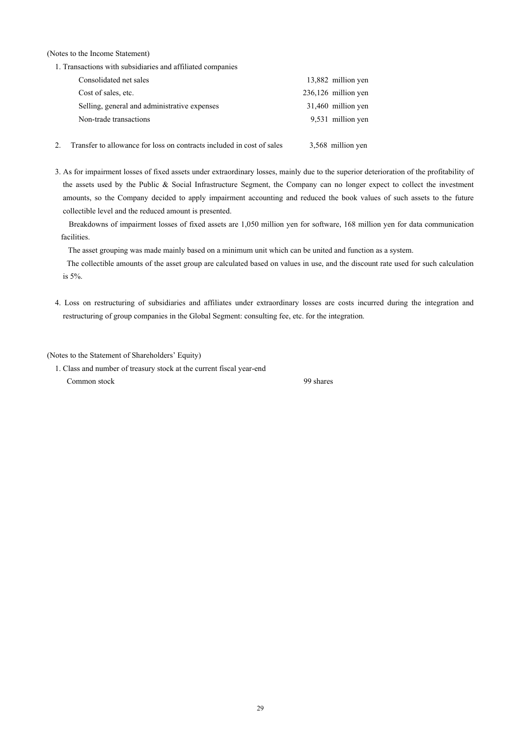(Notes to the Income Statement)

1. Transactions with subsidiaries and affiliated companies

| Consolidated net sales                       | 13,882 million yen    |
|----------------------------------------------|-----------------------|
| Cost of sales, etc.                          | $236,126$ million yen |
| Selling, general and administrative expenses | 31,460 million yen    |
| Non-trade transactions                       | 9,531 million yen     |
|                                              |                       |

- 2. Transfer to allowance for loss on contracts included in cost of sales 3,568 million yen
- 3. As for impairment losses of fixed assets under extraordinary losses, mainly due to the superior deterioration of the profitability of the assets used by the Public & Social Infrastructure Segment, the Company can no longer expect to collect the investment amounts, so the Company decided to apply impairment accounting and reduced the book values of such assets to the future collectible level and the reduced amount is presented.

Breakdowns of impairment losses of fixed assets are 1,050 million yen for software, 168 million yen for data communication facilities.

The asset grouping was made mainly based on a minimum unit which can be united and function as a system.

The collectible amounts of the asset group are calculated based on values in use, and the discount rate used for such calculation is 5%.

4. Loss on restructuring of subsidiaries and affiliates under extraordinary losses are costs incurred during the integration and restructuring of group companies in the Global Segment: consulting fee, etc. for the integration.

(Notes to the Statement of Shareholders' Equity)

1. Class and number of treasury stock at the current fiscal year-end Common stock 99 shares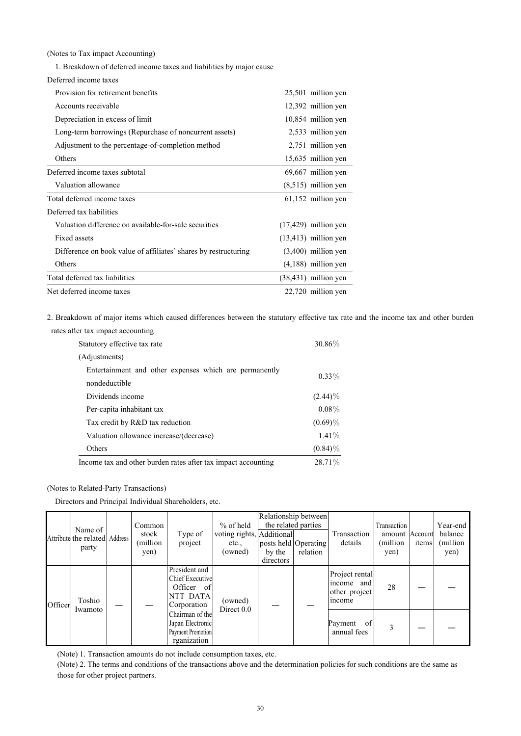(Notes to Tax impact Accounting)

1. Breakdown of deferred income taxes and liabilities by major cause

| Deferred income taxes                                           |                         |
|-----------------------------------------------------------------|-------------------------|
| Provision for retirement benefits                               | 25,501 million yen      |
| Accounts receivable                                             | 12,392 million yen      |
| Depreciation in excess of limit                                 | 10,854 million yen      |
| Long-term borrowings (Repurchase of noncurrent assets)          | 2,533 million yen       |
| Adjustment to the percentage-of-completion method               | 2,751 million yen       |
| Others                                                          | 15,635 million yen      |
| Deferred income taxes subtotal                                  | 69,667 million yen      |
| Valuation allowance                                             | $(8,515)$ million yen   |
| Total deferred income taxes                                     | 61,152 million yen      |
| Deferred tax liabilities                                        |                         |
| Valuation difference on available-for-sale securities           | $(17,429)$ million yen  |
| Fixed assets                                                    | $(13, 413)$ million yen |
| Difference on book value of affiliates' shares by restructuring | $(3,400)$ million yen   |
| Others                                                          | $(4,188)$ million yen   |
| Total deferred tax liabilities                                  | $(38, 431)$ million yen |
| Net deferred income taxes                                       | 22,720 million yen      |

2. Breakdown of major items which caused differences between the statutory effective tax rate and the income tax and other burden rates after tax impact accounting

| Statutory effective tax rate                                  | 30.86%     |
|---------------------------------------------------------------|------------|
| (Adjustments)                                                 |            |
| Entertainment and other expenses which are permanently        | $0.33\%$   |
| nondeductible                                                 |            |
| Dividends income                                              | $(2.44)\%$ |
| Per-capita inhabitant tax                                     | $0.08\%$   |
| Tax credit by R&D tax reduction                               | $(0.69)\%$ |
| Valuation allowance increase/(decrease)                       | $1.41\%$   |
| Others                                                        | $(0.84)\%$ |
| Income tax and other burden rates after tax impact accounting | 28.71%     |

(Notes to Related-Party Transactions)

Directors and Principal Individual Shareholders, etc.

|         |                                                   | $%$ of held<br>Common | Relationship between<br>the related parties |                                                                                  |                                               |                                             |          | Year-end                                                |                                                    |       |                             |
|---------|---------------------------------------------------|-----------------------|---------------------------------------------|----------------------------------------------------------------------------------|-----------------------------------------------|---------------------------------------------|----------|---------------------------------------------------------|----------------------------------------------------|-------|-----------------------------|
|         | Name of<br>Attribute the related Address<br>party |                       | stock<br>(million)<br>yen)                  | Type of<br>project                                                               | voting rights, Additional<br>etc.,<br>(owned) | posts held Operating<br>by the<br>directors | relation | Transaction<br>details                                  | Transaction<br>amount Account<br>(million)<br>yen) | items | balance<br>(million<br>yen) |
| Officer | Toshio                                            |                       |                                             | President and<br><b>Chief Executive</b><br>Officer of<br>NTT DATA<br>Corporation | (owned)<br>Direct $0.0$                       |                                             |          | Project rental<br>income and<br>other project<br>income | 28                                                 |       |                             |
|         | Iwamoto                                           |                       |                                             | Chairman of the<br>Japan Electronic<br>Payment Promotion<br>rganization          |                                               |                                             |          | of<br>Payment<br>annual fees                            |                                                    |       |                             |

(Note) 1. Transaction amounts do not include consumption taxes, etc.

(Note) 2. The terms and conditions of the transactions above and the determination policies for such conditions are the same as those for other project partners.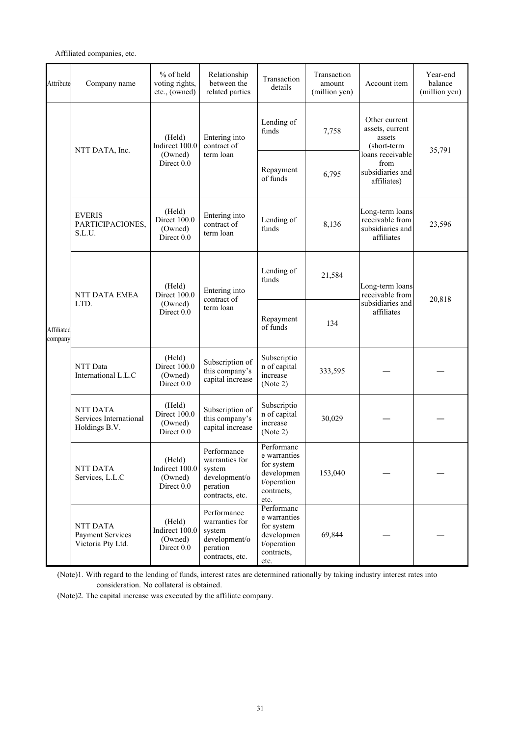## Affiliated companies, etc.

| Attribute             | Company name                                                                     | $%$ of held<br>voting rights,<br>etc., (owned)    | Relationship<br>between the<br>related parties                                          | Transaction<br>details                                                                      | Transaction<br>amount<br>(million yen) | Account item                                                         | Year-end<br>balance<br>(million yen) |
|-----------------------|----------------------------------------------------------------------------------|---------------------------------------------------|-----------------------------------------------------------------------------------------|---------------------------------------------------------------------------------------------|----------------------------------------|----------------------------------------------------------------------|--------------------------------------|
|                       | NTT DATA, Inc.                                                                   | (Held)<br>Indirect 100.0                          | Entering into<br>contract of                                                            | Lending of<br>funds                                                                         | 7,758                                  | Other current<br>assets, current<br>assets<br>(short-term            | 35,791                               |
|                       |                                                                                  | (Owned)<br>Direct 0.0                             | term loan                                                                               | Repayment<br>of funds                                                                       | 6,795                                  | loans receivable<br>from<br>subsidiaries and<br>affiliates)          |                                      |
| Affiliated<br>company | <b>EVERIS</b><br>PARTICIPACIONES,<br>S.L.U.                                      | (Held)<br>Direct 100.0<br>(Owned)<br>Direct 0.0   | Entering into<br>contract of<br>term loan                                               | Lending of<br>funds                                                                         | 8,136                                  | Long-term loans<br>receivable from<br>subsidiaries and<br>affiliates | 23,596                               |
|                       | NTT DATA EMEA                                                                    | (Held)<br>Direct 100.0                            | Entering into<br>contract of<br>term loan                                               | Lending of<br>funds                                                                         | 21,584                                 | Long-term loans<br>receivable from                                   | 20,818                               |
|                       | LTD.                                                                             | (Owned)<br>Direct 0.0                             |                                                                                         | Repayment<br>of funds                                                                       | 134                                    | subsidiaries and<br>affiliates                                       |                                      |
|                       | NTT Data<br>International L.L.C                                                  | (Held)<br>Direct 100.0<br>(Owned)<br>Direct 0.0   | Subscription of<br>this company's<br>capital increase                                   | Subscriptio<br>n of capital<br>increase<br>(Note 2)                                         | 333,595                                |                                                                      |                                      |
|                       | <b>NTT DATA</b><br>Services International<br>Holdings B.V.                       | (Held)<br>Direct 100.0<br>(Owned)<br>Direct 0.0   | Subscription of<br>this company's<br>capital increase                                   | Subscriptio<br>n of capital<br>increase<br>(Note 2)                                         | 30,029                                 |                                                                      |                                      |
|                       | (Held)<br>Indirect 100.0<br>NTT DATA<br>(Owned)<br>Services, L.L.C<br>Direct 0.0 |                                                   | Performance<br>warranties for<br>system<br>development/o<br>peration<br>contracts, etc. | Performanc<br>e warranties<br>for system<br>developmen<br>t/operation<br>contracts,<br>etc. | 153,040                                |                                                                      |                                      |
|                       | NTT DATA<br><b>Payment Services</b><br>Victoria Pty Ltd.                         | (Held)<br>Indirect 100.0<br>(Owned)<br>Direct 0.0 | Performance<br>warranties for<br>system<br>development/o<br>peration<br>contracts, etc. | Performanc<br>e warranties<br>for system<br>developmen<br>t/operation<br>contracts,<br>etc. | 69,844                                 |                                                                      |                                      |

(Note)1. With regard to the lending of funds, interest rates are determined rationally by taking industry interest rates into consideration. No collateral is obtained.

(Note)2. The capital increase was executed by the affiliate company.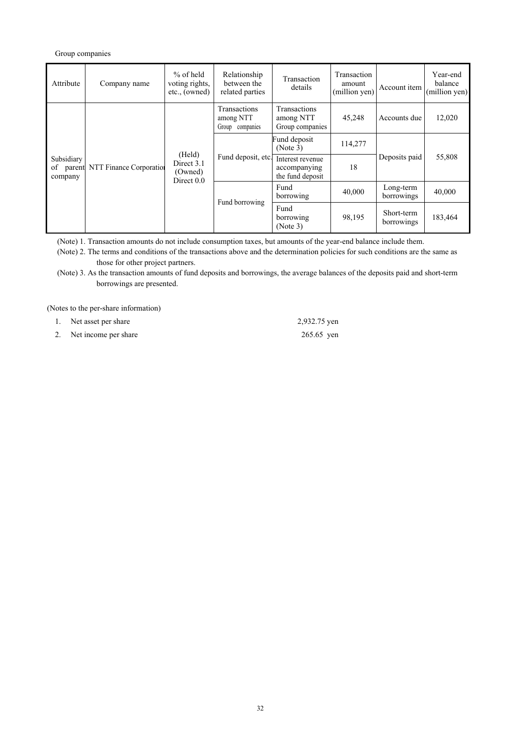## Group companies

| Attribute                          | Company name            | $%$ of held<br>voting rights,<br>etc., (owned)  | Relationship<br>between the<br>related parties | Transaction<br>details                               | Transaction<br>amount<br>(million yen) | Account item             | Year-end<br>balance<br>(million yen) |
|------------------------------------|-------------------------|-------------------------------------------------|------------------------------------------------|------------------------------------------------------|----------------------------------------|--------------------------|--------------------------------------|
|                                    |                         |                                                 | Transactions<br>among NTT<br>Group companies   | Transactions<br>among NTT<br>Group companies         | 45,248                                 | Accounts due             | 12,020                               |
| Subsidiary<br>of parent<br>company | NTT Finance Corporation | (Held)<br>Direct 3.1<br>(Owned)<br>Direct $0.0$ | Fund deposit, etc.                             | Fund deposit<br>(Note 3)                             | 114,277                                |                          | 55,808                               |
|                                    |                         |                                                 |                                                | Interest revenue<br>accompanying<br>the fund deposit | 18                                     | Deposits paid            |                                      |
|                                    |                         |                                                 |                                                | Fund<br>borrowing                                    | 40,000                                 | Long-term<br>borrowings  | 40,000                               |
|                                    |                         |                                                 | Fund borrowing                                 | Fund<br>borrowing<br>(Note 3)                        | 98,195                                 | Short-term<br>borrowings | 183,464                              |

(Note) 1. Transaction amounts do not include consumption taxes, but amounts of the year-end balance include them.

(Note) 2. The terms and conditions of the transactions above and the determination policies for such conditions are the same as those for other project partners.

(Note) 3. As the transaction amounts of fund deposits and borrowings, the average balances of the deposits paid and short-term borrowings are presented.

(Notes to the per-share information)

| Net asset per share     | 2,932.75 yen |
|-------------------------|--------------|
| 2. Net income per share | 265.65 yen   |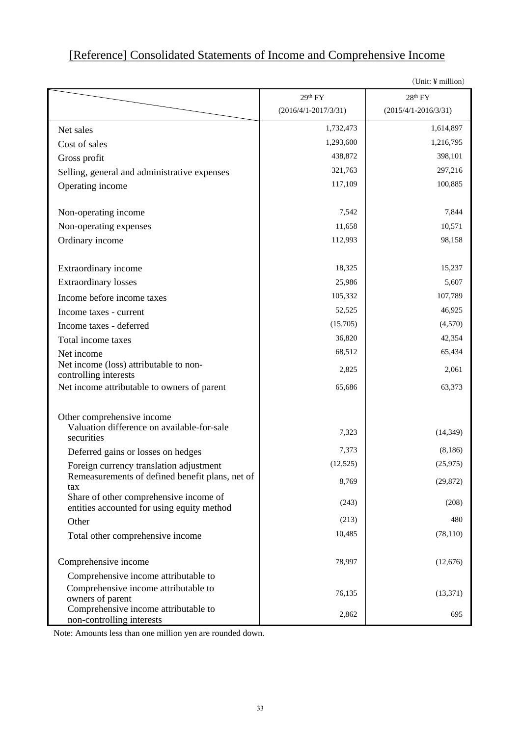## [Reference] Consolidated Statements of Income and Comprehensive Income

|                                                                                      |                          | $\langle$ UIIII: $\pm$ IIIIIIIIOII) |
|--------------------------------------------------------------------------------------|--------------------------|-------------------------------------|
|                                                                                      | 29 <sup>th</sup> FY      | 28 <sup>th</sup> FY                 |
|                                                                                      | $(2016/4/1 - 2017/3/31)$ | $(2015/4/1 - 2016/3/31)$            |
| Net sales                                                                            | 1,732,473                | 1,614,897                           |
| Cost of sales                                                                        | 1,293,600                | 1,216,795                           |
| Gross profit                                                                         | 438,872                  | 398,101                             |
| Selling, general and administrative expenses                                         | 321,763                  | 297,216                             |
| Operating income                                                                     | 117,109                  | 100,885                             |
| Non-operating income                                                                 | 7,542                    | 7,844                               |
| Non-operating expenses                                                               | 11,658                   | 10,571                              |
| Ordinary income                                                                      | 112,993                  | 98,158                              |
| Extraordinary income                                                                 | 18,325                   | 15,237                              |
| <b>Extraordinary losses</b>                                                          | 25,986                   | 5,607                               |
| Income before income taxes                                                           | 105,332                  | 107,789                             |
| Income taxes - current                                                               | 52,525                   | 46,925                              |
| Income taxes - deferred                                                              | (15,705)                 | (4,570)                             |
| Total income taxes                                                                   | 36,820                   | 42,354                              |
| Net income                                                                           | 68,512                   | 65,434                              |
| Net income (loss) attributable to non-<br>controlling interests                      | 2,825                    | 2,061                               |
| Net income attributable to owners of parent                                          | 65,686                   | 63,373                              |
| Other comprehensive income                                                           |                          |                                     |
| Valuation difference on available-for-sale<br>securities                             | 7,323                    | (14, 349)                           |
| Deferred gains or losses on hedges                                                   | 7,373                    | (8,186)                             |
| Foreign currency translation adjustment                                              | (12, 525)                | (25,975)                            |
| Remeasurements of defined benefit plans, net of<br>tax                               | 8,769                    | (29, 872)                           |
| Share of other comprehensive income of<br>entities accounted for using equity method | (243)                    | (208)                               |
| Other                                                                                | (213)                    | 480                                 |
| Total other comprehensive income                                                     | 10,485                   | (78, 110)                           |
| Comprehensive income                                                                 | 78,997                   | (12,676)                            |
| Comprehensive income attributable to                                                 |                          |                                     |
| Comprehensive income attributable to<br>owners of parent                             | 76,135                   | (13, 371)                           |
| Comprehensive income attributable to<br>non-controlling interests                    | 2,862                    | 695                                 |

 $(\text{Unit: } V \text{ million})$ 

Note: Amounts less than one million yen are rounded down.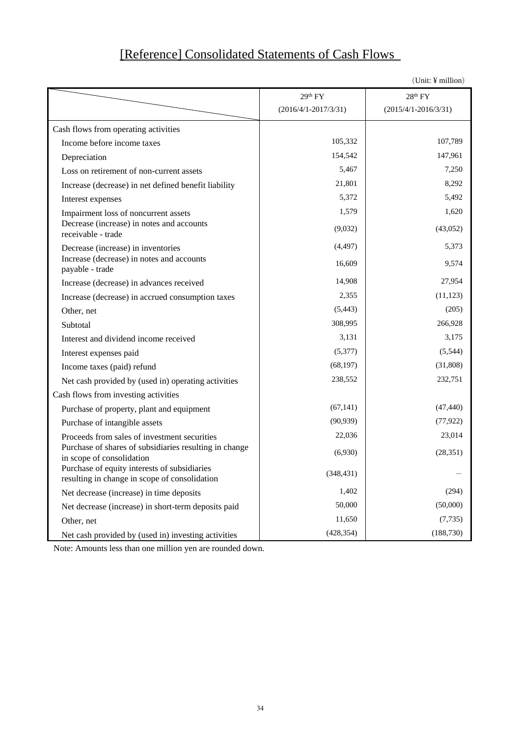# [Reference] Consolidated Statements of Cash Flows

|                                                                                               |                          | (Unit: ¥ million)        |
|-----------------------------------------------------------------------------------------------|--------------------------|--------------------------|
|                                                                                               | 29 <sup>th</sup> FY      | 28 <sup>th</sup> FY      |
|                                                                                               | $(2016/4/1 - 2017/3/31)$ | $(2015/4/1 - 2016/3/31)$ |
| Cash flows from operating activities                                                          |                          |                          |
| Income before income taxes                                                                    | 105,332                  | 107,789                  |
| Depreciation                                                                                  | 154,542                  | 147,961                  |
| Loss on retirement of non-current assets                                                      | 5,467                    | 7,250                    |
| Increase (decrease) in net defined benefit liability                                          | 21,801                   | 8,292                    |
| Interest expenses                                                                             | 5,372                    | 5,492                    |
| Impairment loss of noncurrent assets                                                          | 1,579                    | 1,620                    |
| Decrease (increase) in notes and accounts<br>receivable - trade                               | (9,032)                  | (43,052)                 |
| Decrease (increase) in inventories                                                            | (4, 497)                 | 5,373                    |
| Increase (decrease) in notes and accounts<br>payable - trade                                  | 16,609                   | 9,574                    |
| Increase (decrease) in advances received                                                      | 14,908                   | 27,954                   |
| Increase (decrease) in accrued consumption taxes                                              | 2,355                    | (11, 123)                |
| Other, net                                                                                    | (5, 443)                 | (205)                    |
| Subtotal                                                                                      | 308,995                  | 266,928                  |
| Interest and dividend income received                                                         | 3,131                    | 3,175                    |
| Interest expenses paid                                                                        | (5,377)                  | (5,544)                  |
| Income taxes (paid) refund                                                                    | (68, 197)                | (31, 808)                |
| Net cash provided by (used in) operating activities                                           | 238,552                  | 232,751                  |
| Cash flows from investing activities                                                          |                          |                          |
| Purchase of property, plant and equipment                                                     | (67, 141)                | (47, 440)                |
| Purchase of intangible assets                                                                 | (90, 939)                | (77, 922)                |
| Proceeds from sales of investment securities                                                  | 22,036                   | 23,014                   |
| Purchase of shares of subsidiaries resulting in change<br>in scope of consolidation           | (6,930)                  | (28, 351)                |
| Purchase of equity interests of subsidiaries<br>resulting in change in scope of consolidation | (348, 431)               |                          |
| Net decrease (increase) in time deposits                                                      | 1,402                    | (294)                    |
| Net decrease (increase) in short-term deposits paid                                           | 50,000                   | (50,000)                 |
| Other, net                                                                                    | 11,650                   | (7, 735)                 |
| Net cash provided by (used in) investing activities                                           | (428, 354)               | (188, 730)               |

Note: Amounts less than one million yen are rounded down.

34